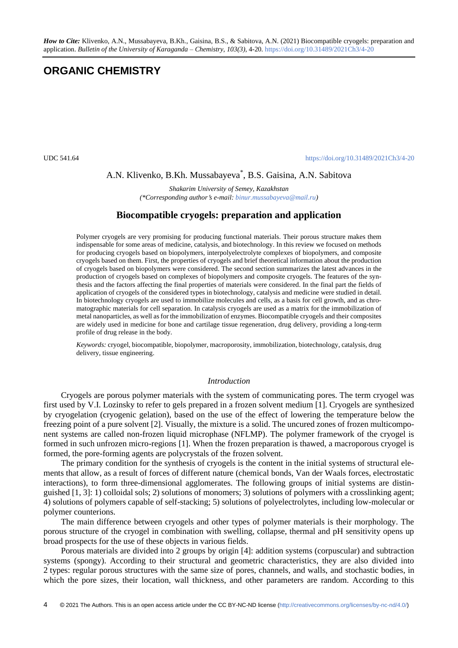# **ORGANIC CHEMISTRY**

UDC 541.64 <https://doi.org/10.31489/2021Ch3/4-20>

## A.N. Klivenko, B.Kh. Mussabayeva\* , B.S. Gaisina, A.N. Sabitova

*Shakarim University of Semey, Kazakhstan (\*Corresponding authors e-mail[: binur.mussabayeva@mail.ru\)](mailto:binur.mussabayeva@mail.ru)*

## **Biocompatible cryogels: preparation and application**

Polymer cryogels are very promising for producing functional materials. Their porous structure makes them indispensable for some areas of medicine, catalysis, and biotechnology. In this review we focused on methods for producing cryogels based on biopolymers, interpolyelectrolyte complexes of biopolymers, and composite cryogels based on them. First, the properties of cryogels and brief theoretical information about the production of cryogels based on biopolymers were considered. The second section summarizes the latest advances in the production of cryogels based on complexes of biopolymers and composite cryogels. The features of the synthesis and the factors affecting the final properties of materials were considered. In the final part the fields of application of cryogels of the considered types in biotechnology, catalysis and medicine were studied in detail. In biotechnology cryogels are used to immobilize molecules and cells, as a basis for cell growth, and as chromatographic materials for cell separation. In catalysis cryogels are used as a matrix for the immobilization of metal nanoparticles, as well as for the immobilization of enzymes. Biocompatible cryogels and their composites are widely used in medicine for bone and cartilage tissue regeneration, drug delivery, providing a long-term profile of drug release in the body.

*Keywords:* cryogel, biocompatible, biopolymer, macroporosity, immobilization, biotechnology, catalysis, drug delivery, tissue engineering.

#### *Introduction*

Cryogels are porous polymer materials with the system of communicating pores. The term cryogel was first used by V.I. Lozinsky to refer to gels prepared in a frozen solvent medium [1]. Cryogels are synthesized by cryogelation (cryogenic gelation), based on the use of the effect of lowering the temperature below the freezing point of a pure solvent [2]. Visually, the mixture is a solid. The uncured zones of frozen multicomponent systems are called non-frozen liquid microphase (NFLMP). The polymer framework of the cryogel is formed in such unfrozen micro-regions [1]. When the frozen preparation is thawed, a macroporous cryogel is formed, the pore-forming agents are polycrystals of the frozen solvent.

The primary condition for the synthesis of cryogels is the content in the initial systems of structural elements that allow, as a result of forces of different nature (chemical bonds, Van der Waals forces, electrostatic interactions), to form three-dimensional agglomerates. The following groups of initial systems are distinguished [1, 3]: 1) colloidal sols; 2) solutions of monomers; 3) solutions of polymers with a crosslinking agent; 4) solutions of polymers capable of self-stacking; 5) solutions of polyelectrolytes, including low-molecular or polymer counterions.

The main difference between cryogels and other types of polymer materials is their morphology. The porous structure of the cryogel in combination with swelling, collapse, thermal and pH sensitivity opens up broad prospects for the use of these objects in various fields.

Porous materials are divided into 2 groups by origin [4]: addition systems (corpuscular) and subtraction systems (spongy). According to their structural and geometric characteristics, they are also divided into 2 types: regular porous structures with the same size of pores, channels, and walls, and stochastic bodies, in which the pore sizes, their location, wall thickness, and other parameters are random. According to this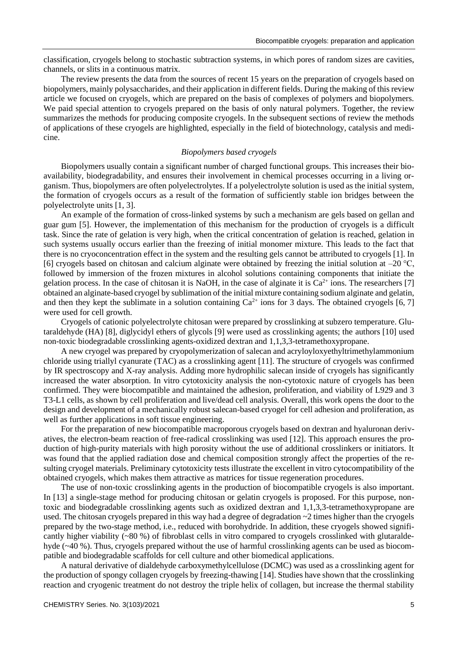classification, cryogels belong to stochastic subtraction systems, in which pores of random sizes are cavities, channels, or slits in a continuous matrix.

The review presents the data from the sources of recent 15 years on the preparation of cryogels based on biopolymers, mainly polysaccharides, and their application in different fields. During the making of this review article we focused on cryogels, which are prepared on the basis of complexes of polymers and biopolymers. We paid special attention to cryogels prepared on the basis of only natural polymers. Together, the review summarizes the methods for producing composite cryogels. In the subsequent sections of review the methods of applications of these cryogels are highlighted, especially in the field of biotechnology, catalysis and medicine.

## *Biopolymers based cryogels*

Biopolymers usually contain a significant number of charged functional groups. This increases their bioavailability, biodegradability, and ensures their involvement in chemical processes occurring in a living organism. Thus, biopolymers are often polyelectrolytes. If a polyelectrolyte solution is used as the initial system, the formation of cryogels occurs as a result of the formation of sufficiently stable ion bridges between the polyelectrolyte units [1, 3].

An example of the formation of cross-linked systems by such a mechanism are gels based on gellan and guar gum [5]. However, the implementation of this mechanism for the production of cryogels is a difficult task. Since the rate of gelation is very high, when the critical concentration of gelation is reached, gelation in such systems usually occurs earlier than the freezing of initial monomer mixture. This leads to the fact that there is no cryoconcentration effect in the system and the resulting gels cannot be attributed to cryogels [1]. In [6] cryogels based on chitosan and calcium alginate were obtained by freezing the initial solution at  $-20^{\circ}$ C, followed by immersion of the frozen mixtures in alcohol solutions containing components that initiate the gelation process. In the case of chitosan it is NaOH, in the case of alginate it is  $Ca^{2+}$  ions. The researchers [7] obtained an alginate-based cryogel by sublimation of the initial mixture containing sodium alginate and gelatin, and then they kept the sublimate in a solution containing  $Ca^{2+}$  ions for 3 days. The obtained cryogels [6, 7] were used for cell growth.

Cryogels of cationic polyelectrolyte chitosan were prepared by crosslinking at subzero temperature. Glutaraldehyde (HA) [8], diglycidyl ethers of glycols [9] were used as crosslinking agents; the authors [10] used non-toxic biodegradable crosslinking agents-oxidized dextran and 1,1,3,3-tetramethoxypropane.

A new cryogel was prepared by cryopolymerization of salecan and acryloyloxyethyltrimethylammonium chloride using triallyl cyanurate (TAC) as a crosslinking agent [11]. The structure of cryogels was confirmed by IR spectroscopy and X-ray analysis. Adding more hydrophilic salecan inside of cryogels has significantly increased the water absorption. In vitro cytotoxicity analysis the non-cytotoxic nature of cryogels has been confirmed. They were biocompatible and maintained the adhesion, proliferation, and viability of L929 and 3 T3-L1 cells, as shown by cell proliferation and live/dead cell analysis. Overall, this work opens the door to the design and development of a mechanically robust salecan-based cryogel for cell adhesion and proliferation, as well as further applications in soft tissue engineering.

For the preparation of new biocompatible macroporous cryogels based on dextran and hyaluronan derivatives, the electron-beam reaction of free-radical crosslinking was used [12]. This approach ensures the production of high-purity materials with high porosity without the use of additional crosslinkers or initiators. It was found that the applied radiation dose and chemical composition strongly affect the properties of the resulting cryogel materials. Preliminary cytotoxicity tests illustrate the excellent in vitro cytocompatibility of the obtained cryogels, which makes them attractive as matrices for tissue regeneration procedures.

The use of non-toxic crosslinking agents in the production of biocompatible cryogels is also important. In [13] a single-stage method for producing chitosan or gelatin cryogels is proposed. For this purpose, nontoxic and biodegradable crosslinking agents such as oxidized dextran and 1,1,3,3-tetramethoxypropane are used. The chitosan cryogels prepared in this way had a degree of degradation ~2 times higher than the cryogels prepared by the two-stage method, i.e., reduced with borohydride. In addition, these cryogels showed significantly higher viability (~80 %) of fibroblast cells in vitro compared to cryogels crosslinked with glutaraldehyde (~40 %). Thus, cryogels prepared without the use of harmful crosslinking agents can be used as biocompatible and biodegradable scaffolds for cell culture and other biomedical applications.

A natural derivative of dialdehyde carboxymethylcellulose (DCMC) was used as a crosslinking agent for the production of spongy collagen cryogels by freezing-thawing [14]. Studies have shown that the crosslinking reaction and cryogenic treatment do not destroy the triple helix of collagen, but increase the thermal stability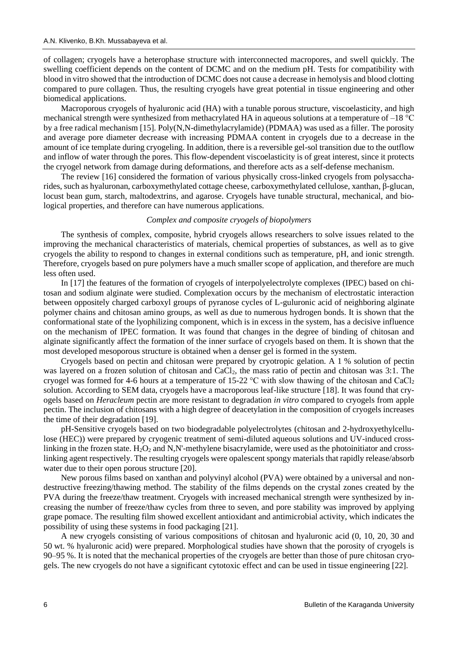of collagen; cryogels have a heterophase structure with interconnected macropores, and swell quickly. The swelling coefficient depends on the content of DCMC and on the medium pH. Tests for compatibility with blood in vitro showed that the introduction of DCMC does not cause a decrease in hemolysis and blood clotting compared to pure collagen. Thus, the resulting cryogels have great potential in tissue engineering and other biomedical applications.

Macroporous cryogels of hyaluronic acid (HA) with a tunable porous structure, viscoelasticity, and high mechanical strength were synthesized from methacrylated HA in aqueous solutions at a temperature of –18 °C by a free radical mechanism [15]. Poly(N,N-dimethylacrylamide) (PDMAA) was used as a filler. The porosity and average pore diameter decrease with increasing PDMAA content in cryogels due to a decrease in the amount of ice template during cryogeling. In addition, there is a reversible gel-sol transition due to the outflow and inflow of water through the pores. This flow-dependent viscoelasticity is of great interest, since it protects the cryogel network from damage during deformations, and therefore acts as a self-defense mechanism.

The review [16] considered the formation of various physically cross-linked cryogels from polysaccharides, such as hyaluronan, carboxymethylated cottage cheese, carboxymethylated cellulose, xanthan, β-glucan, locust bean gum, starch, maltodextrins, and agarose. Cryogels have tunable structural, mechanical, and biological properties, and therefore can have numerous applications.

#### *Complex and composite cryogels of biopolymers*

The synthesis of complex, composite, hybrid cryogels allows researchers to solve issues related to the improving the mechanical characteristics of materials, chemical properties of substances, as well as to give cryogels the ability to respond to changes in external conditions such as temperature, pH, and ionic strength. Therefore, cryogels based on pure polymers have a much smaller scope of application, and therefore are much less often used.

In [17] the features of the formation of cryogels of interpolyelectrolyte complexes (IPEC) based on chitosan and sodium alginate were studied. Complexation occurs by the mechanism of electrostatic interaction between oppositely charged carboxyl groups of pyranose cycles of L-guluronic acid of neighboring alginate polymer chains and chitosan amino groups, as well as due to numerous hydrogen bonds. It is shown that the conformational state of the lyophilizing component, which is in excess in the system, has a decisive influence on the mechanism of IPEC formation. It was found that changes in the degree of binding of chitosan and alginate significantly affect the formation of the inner surface of cryogels based on them. It is shown that the most developed mesoporous structure is obtained when a denser gel is formed in the system.

Cryogels based on pectin and chitosan were prepared by cryotropic gelation. A 1 % solution of pectin was layered on a frozen solution of chitosan and CaCl<sub>2</sub>, the mass ratio of pectin and chitosan was 3:1. The cryogel was formed for 4-6 hours at a temperature of 15-22  $\degree$ C with slow thawing of the chitosan and CaCl<sub>2</sub> solution. According to SEM data, cryogels have a macroporous leaf-like structure [18]. It was found that cryogels based on *Heracleum* pectin are more resistant to degradation *in vitro* compared to cryogels from apple pectin. The inclusion of chitosans with a high degree of deacetylation in the composition of cryogels increases the time of their degradation [19].

pH-Sensitive cryogels based on two biodegradable polyelectrolytes (chitosan and 2-hydroxyethylcellulose (HEC)) were prepared by cryogenic treatment of semi-diluted aqueous solutions and UV-induced crosslinking in the frozen state.  $H_2O_2$  and N,N'-methylene bisacrylamide, were used as the photoinitiator and crosslinking agent respectively. The resulting cryogels were opalescent spongy materials that rapidly release/absorb water due to their open porous structure [20].

New porous films based on xanthan and polyvinyl alcohol (PVA) were obtained by a universal and nondestructive freezing/thawing method. The stability of the films depends on the crystal zones created by the PVA during the freeze/thaw treatment. Cryogels with increased mechanical strength were synthesized by increasing the number of freeze/thaw cycles from three to seven, and pore stability was improved by applying grape pomace. The resulting film showed excellent antioxidant and antimicrobial activity, which indicates the possibility of using these systems in food packaging [21].

A new cryogels consisting of various compositions of chitosan and hyaluronic acid (0, 10, 20, 30 and 50 wt. % hyaluronic acid) were prepared. Morphological studies have shown that the porosity of cryogels is 90–95 %. It is noted that the mechanical properties of the cryogels are better than those of pure chitosan cryogels. The new cryogels do not have a significant cytotoxic effect and can be used in tissue engineering [22].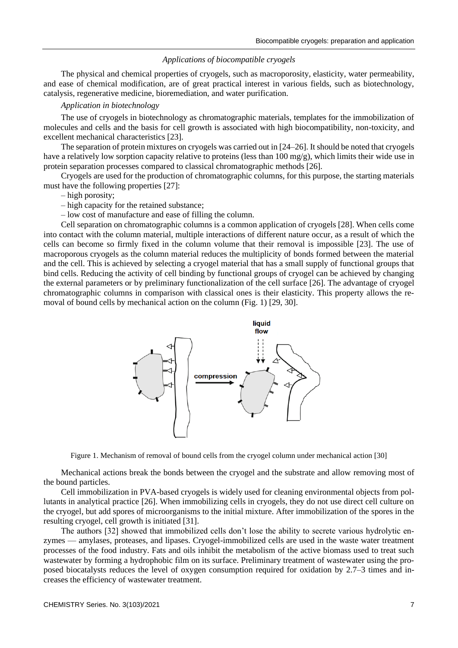#### *Applications of biocompatible cryogels*

The physical and chemical properties of cryogels, such as macroporosity, elasticity, water permeability, and ease of chemical modification, are of great practical interest in various fields, such as biotechnology, catalysis, regenerative medicine, bioremediation, and water purification.

#### *Application in biotechnology*

The use of cryogels in biotechnology as chromatographic materials, templates for the immobilization of molecules and cells and the basis for cell growth is associated with high biocompatibility, non-toxicity, and excellent mechanical characteristics [23].

The separation of protein mixtures on cryogels was carried out in [24–26]. It should be noted that cryogels have a relatively low sorption capacity relative to proteins (less than 100 mg/g), which limits their wide use in protein separation processes compared to classical chromatographic methods [26].

Cryogels are used for the production of chromatographic columns, for this purpose, the starting materials must have the following properties [27]:

– high porosity;

– high capacity for the retained substance;

– low cost of manufacture and ease of filling the column.

Cell separation on chromatographic columns is a common application of cryogels [28]. When cells come into contact with the column material, multiple interactions of different nature occur, as a result of which the cells can become so firmly fixed in the column volume that their removal is impossible [23]. The use of macroporous cryogels as the column material reduces the multiplicity of bonds formed between the material and the cell. This is achieved by selecting a cryogel material that has a small supply of functional groups that bind cells. Reducing the activity of cell binding by functional groups of cryogel can be achieved by changing the external parameters or by preliminary functionalization of the cell surface [26]. The advantage of cryogel chromatographic columns in comparison with classical ones is their elasticity. This property allows the removal of bound cells by mechanical action on the column (Fig. 1) [29, 30].



Figure 1. Mechanism of removal of bound cells from the cryogel column under mechanical action [30]

Mechanical actions break the bonds between the cryogel and the substrate and allow removing most of the bound particles.

Cell immobilization in PVA-based cryogels is widely used for cleaning environmental objects from pollutants in analytical practice [26]. When immobilizing cells in cryogels, they do not use direct cell culture on the cryogel, but add spores of microorganisms to the initial mixture. After immobilization of the spores in the resulting cryogel, cell growth is initiated [31].

The authors [32] showed that immobilized cells don't lose the ability to secrete various hydrolytic enzymes — amylases, proteases, and lipases. Cryogel-immobilized cells are used in the waste water treatment processes of the food industry. Fats and oils inhibit the metabolism of the active biomass used to treat such wastewater by forming a hydrophobic film on its surface. Preliminary treatment of wastewater using the proposed biocatalysts reduces the level of oxygen consumption required for oxidation by 2.7–3 times and increases the efficiency of wastewater treatment.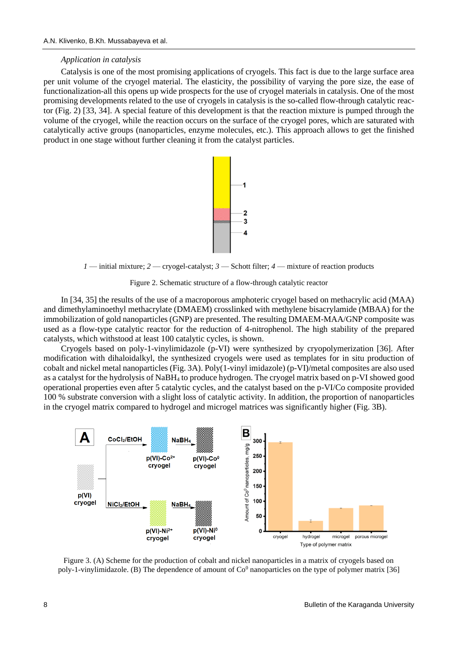#### *Application in catalysis*

Catalysis is one of the most promising applications of cryogels. This fact is due to the large surface area per unit volume of the cryogel material. The elasticity, the possibility of varying the pore size, the ease of functionalization-all this opens up wide prospects for the use of cryogel materials in catalysis. One of the most promising developments related to the use of cryogels in catalysis is the so-called flow-through catalytic reactor (Fig. 2) [33, 34]. A special feature of this development is that the reaction mixture is pumped through the volume of the cryogel, while the reaction occurs on the surface of the cryogel pores, which are saturated with catalytically active groups (nanoparticles, enzyme molecules, etc.). This approach allows to get the finished product in one stage without further cleaning it from the catalyst particles.



*1* — initial mixture; *2* — cryogel-catalyst; *3* — Schott filter; *4* — mixture of reaction products

Figure 2. Schematic structure of a flow-through catalytic reactor

In [34, 35] the results of the use of a macroporous amphoteric cryogel based on methacrylic acid (MAA) and dimethylaminoethyl methacrylate (DMAEM) crosslinked with methylene bisacrylamide (MBAA) for the immobilization of gold nanoparticles (GNP) are presented. The resulting DMAEM-MAA/GNP composite was used as a flow-type catalytic reactor for the reduction of 4-nitrophenol. The high stability of the prepared catalysts, which withstood at least 100 catalytic cycles, is shown.

Cryogels based on poly-1-vinylimidazole (p-VI) were synthesized by cryopolymerization [36]. After modification with dihaloidalkyl, the synthesized cryogels were used as templates for in situ production of cobalt and nickel metal nanoparticles (Fig. 3A). Poly(1-vinyl imidazole) (p-VI)/metal composites are also used as a catalyst for the hydrolysis of NaBH<sup>4</sup> to produce hydrogen. The cryogel matrix based on p-VI showed good operational properties even after 5 catalytic cycles, and the catalyst based on the p-VI/Co composite provided 100 % substrate conversion with a slight loss of catalytic activity. In addition, the proportion of nanoparticles in the cryogel matrix compared to hydrogel and microgel matrices was significantly higher (Fig. 3B).



Figure 3. (A) Scheme for the production of cobalt and nickel nanoparticles in a matrix of cryogels based on poly-1-vinylimidazole. (B) The dependence of amount of  $Co^0$  nanoparticles on the type of polymer matrix [36]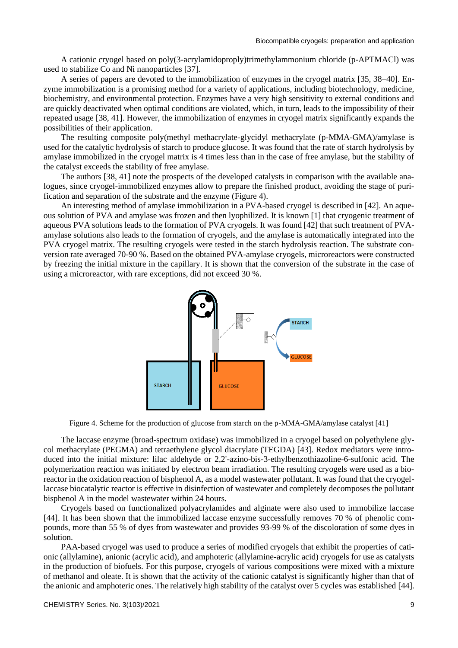A cationic cryogel based on poly(3-acrylamidoproply)trimethylammonium chloride (p-APTMACl) was used to stabilize Co and Ni nanoparticles [37].

A series of papers are devoted to the immobilization of enzymes in the cryogel matrix [35, 38–40]. Enzyme immobilization is a promising method for a variety of applications, including biotechnology, medicine, biochemistry, and environmental protection. Enzymes have a very high sensitivity to external conditions and are quickly deactivated when optimal conditions are violated, which, in turn, leads to the impossibility of their repeated usage [38, 41]. However, the immobilization of enzymes in cryogel matrix significantly expands the possibilities of their application.

The resulting composite poly(methyl methacrylate-glycidyl methacrylate (p-MMA-GMA)/amylase is used for the catalytic hydrolysis of starch to produce glucose. It was found that the rate of starch hydrolysis by amylase immobilized in the cryogel matrix is 4 times less than in the case of free amylase, but the stability of the catalyst exceeds the stability of free amylase.

The authors [38, 41] note the prospects of the developed catalysts in comparison with the available analogues, since cryogel-immobilized enzymes allow to prepare the finished product, avoiding the stage of purification and separation of the substrate and the enzyme (Figure 4).

An interesting method of amylase immobilization in a PVA-based cryogel is described in [42]. An aqueous solution of PVA and amylase was frozen and then lyophilized. It is known [1] that cryogenic treatment of aqueous PVA solutions leads to the formation of PVA cryogels. It was found [42] that such treatment of PVAamylase solutions also leads to the formation of cryogels, and the amylase is automatically integrated into the PVA cryogel matrix. The resulting cryogels were tested in the starch hydrolysis reaction. The substrate conversion rate averaged 70-90 %. Based on the obtained PVA-amylase cryogels, microreactors were constructed by freezing the initial mixture in the capillary. It is shown that the conversion of the substrate in the case of using a microreactor, with rare exceptions, did not exceed 30 %.



Figure 4. Scheme for the production of glucose from starch on the p-MMA-GMA/amylase catalyst [41]

The laccase enzyme (broad-spectrum oxidase) was immobilized in a cryogel based on polyethylene glycol methacrylate (PEGMA) and tetraethylene glycol diacrylate (TEGDA) [43]. Redox mediators were introduced into the initial mixture: lilac aldehyde or 2,2'-azino-bis-3-ethylbenzothiazoline-6-sulfonic acid. The polymerization reaction was initiated by electron beam irradiation. The resulting cryogels were used as a bioreactor in the oxidation reaction of bisphenol A, as a model wastewater pollutant. It was found that the cryogellaccase biocatalytic reactor is effective in disinfection of wastewater and completely decomposes the pollutant bisphenol A in the model wastewater within 24 hours.

Cryogels based on functionalized polyacrylamides and alginate were also used to immobilize laccase [44]. It has been shown that the immobilized laccase enzyme successfully removes 70 % of phenolic compounds, more than 55 % of dyes from wastewater and provides 93-99 % of the discoloration of some dyes in solution.

PAA-based cryogel was used to produce a series of modified cryogels that exhibit the properties of cationic (allylamine), anionic (acrylic acid), and amphoteric (allylamine-acrylic acid) cryogels for use as catalysts in the production of biofuels. For this purpose, cryogels of various compositions were mixed with a mixture of methanol and oleate. It is shown that the activity of the cationic catalyst is significantly higher than that of the anionic and amphoteric ones. The relatively high stability of the catalyst over 5 cycles was established [44].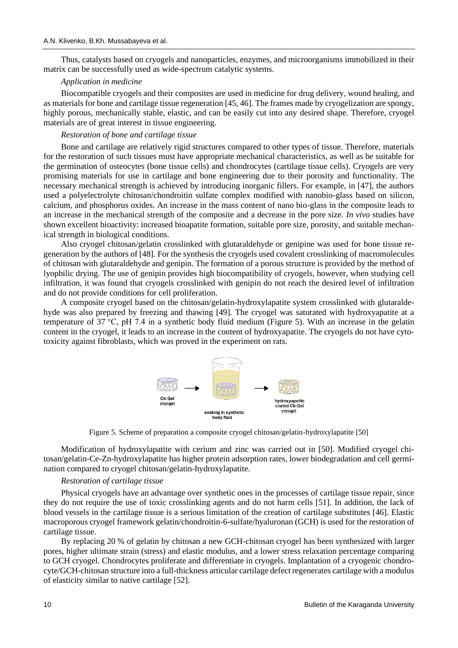Thus, catalysts based on cryogels and nanoparticles, enzymes, and microorganisms immobilized in their matrix can be successfully used as wide-spectrum catalytic systems.

### *Application in medicine*

Biocompatible cryogels and their composites are used in medicine for drug delivery, wound healing, and as materials for bone and cartilage tissue regeneration [45, 46]. The frames made by cryogelization are spongy, highly porous, mechanically stable, elastic, and can be easily cut into any desired shape. Therefore, cryogel materials are of great interest in tissue engineering.

#### *Restoration of bone and cartilage tissue*

Bone and cartilage are relatively rigid structures compared to other types of tissue. Therefore, materials for the restoration of such tissues must have appropriate mechanical characteristics, as well as be suitable for the germination of osteocytes (bone tissue cells) and chondrocytes (cartilage tissue cells). Cryogels are very promising materials for use in cartilage and bone engineering due to their porosity and functionality. The necessary mechanical strength is achieved by introducing inorganic fillers. For example, in [47], the authors used a polyelectrolyte chitosan/chondroitin sulfate complex modified with nanobio-glass based on silicon, calcium, and phosphorus oxides. An increase in the mass content of nano bio-glass in the composite leads to an increase in the mechanical strength of the composite and a decrease in the pore size. *In vivo* studies have shown excellent bioactivity: increased bioapatite formation, suitable pore size, porosity, and suitable mechanical strength in biological conditions.

Also cryogel chitosan/gelatin crosslinked with glutaraldehyde or genipine was used for bone tissue regeneration by the authors of [48]. For the synthesis the cryogels used covalent crosslinking of macromolecules of chitosan with glutaraldehyde and genipin. The formation of a porous structure is provided by the method of lyophilic drying. The use of genipin provides high biocompatibility of cryogels, however, when studying cell infiltration, it was found that cryogels crosslinked with genipin do not reach the desired level of infiltration and do not provide conditions for cell proliferation.

A composite cryogel based on the chitosan/gelatin-hydroxylapatite system crosslinked with glutaraldehyde was also prepared by freezing and thawing [49]. The cryogel was saturated with hydroxyapatite at a temperature of 37 °C, pH 7.4 in a synthetic body fluid medium (Figure 5). With an increase in the gelatin content in the cryogel, it leads to an increase in the content of hydroxyapatite. The cryogels do not have cytotoxicity against fibroblasts, which was proved in the experiment on rats.



Figure 5. Scheme of preparation a composite cryogel chitosan/gelatin-hydroxylapatite [50]

Modification of hydroxylapatite with cerium and zinc was carried out in [50]. Modified cryogel chitosan/gelatin-Ce-Zn-hydroxylapatite has higher protein adsorption rates, lower biodegradation and cell germination compared to cryogel chitosan/gelatin-hydroxylapatite.

#### *Restoration of cartilage tissue*

Physical cryogels have an advantage over synthetic ones in the processes of cartilage tissue repair, since they do not require the use of toxic crosslinking agents and do not harm cells [51]. In addition, the lack of blood vessels in the cartilage tissue is a serious limitation of the creation of cartilage substitutes [46]. Elastic macroporous cryogel framework gelatin/chondroitin-6-sulfate/hyaluronan (GCH) is used for the restoration of cartilage tissue.

By replacing 20 % of gelatin by chitosan a new GCH-chitosan cryogel has been synthesized with larger pores, higher ultimate strain (stress) and elastic modulus, and a lower stress relaxation percentage comparing to GCH cryogel. Chondrocytes proliferate and differentiate in cryogels. Implantation of a cryogenic chondrocyte/GCH-chitosan structure into a full-thickness articular cartilage defect regenerates cartilage with a modulus of elasticity similar to native cartilage [52].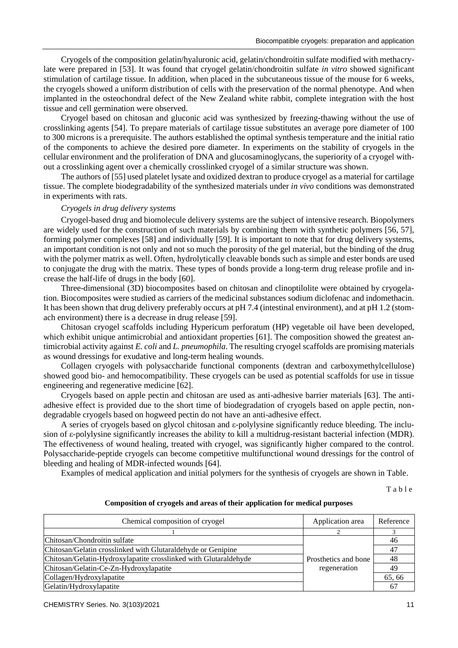Cryogels of the composition gelatin/hyaluronic acid, gelatin/chondroitin sulfate modified with methacrylate were prepared in [53]. It was found that cryogel gelatin/chondroitin sulfate *in vitro* showed significant stimulation of cartilage tissue. In addition, when placed in the subcutaneous tissue of the mouse for 6 weeks, the cryogels showed a uniform distribution of cells with the preservation of the normal phenotype. And when implanted in the osteochondral defect of the New Zealand white rabbit, complete integration with the host tissue and cell germination were observed.

Cryogel based on chitosan and gluconic acid was synthesized by freezing-thawing without the use of crosslinking agents [54]. To prepare materials of cartilage tissue substitutes an average pore diameter of 100 to 300 microns is a prerequisite. The authors established the optimal synthesis temperature and the initial ratio of the components to achieve the desired pore diameter. In experiments on the stability of cryogels in the cellular environment and the proliferation of DNA and glucosaminoglycans, the superiority of a cryogel without a crosslinking agent over a chemically crosslinked cryogel of a similar structure was shown.

The authors of [55] used platelet lysate and oxidized dextran to produce cryogel as a material for cartilage tissue. The complete biodegradability of the synthesized materials under *in vivo* conditions was demonstrated in experiments with rats.

### *Cryogels in drug delivery systems*

Cryogel-based drug and biomolecule delivery systems are the subject of intensive research. Biopolymers are widely used for the construction of such materials by combining them with synthetic polymers [56, 57], forming polymer complexes [58] and individually [59]. It is important to note that for drug delivery systems, an important condition is not only and not so much the porosity of the gel material, but the binding of the drug with the polymer matrix as well. Often, hydrolytically cleavable bonds such as simple and ester bonds are used to conjugate the drug with the matrix. These types of bonds provide a long-term drug release profile and increase the half-life of drugs in the body [60].

Three-dimensional (3D) biocomposites based on chitosan and clinoptilolite were obtained by cryogelation. Biocomposites were studied as carriers of the medicinal substances sodium diclofenac and indomethacin. It has been shown that drug delivery preferably occurs at pH 7.4 (intestinal environment), and at pH 1.2 (stomach environment) there is a decrease in drug release [59].

Chitosan cryogel scaffolds including Hypericum perforatum (HP) vegetable oil have been developed, which exhibit unique antimicrobial and antioxidant properties [61]. The composition showed the greatest antimicrobial activity against *E. coli* and *L. pneumophila*. The resulting cryogel scaffolds are promising materials as wound dressings for exudative and long-term healing wounds.

Collagen cryogels with polysaccharide functional components (dextran and carboxymethylcellulose) showed good bio- and hemocompatibility. These cryogels can be used as potential scaffolds for use in tissue engineering and regenerative medicine [62].

Cryogels based on apple pectin and chitosan are used as anti-adhesive barrier materials [63]. The antiadhesive effect is provided due to the short time of biodegradation of cryogels based on apple pectin, nondegradable cryogels based on hogweed pectin do not have an anti-adhesive effect.

A series of cryogels based on glycol chitosan and ε-polylysine significantly reduce bleeding. The inclusion of ε-polylysine significantly increases the ability to kill a multidrug-resistant bacterial infection (MDR). The effectiveness of wound healing, treated with cryogel, was significantly higher compared to the control. Polysaccharide-peptide cryogels can become competitive multifunctional wound dressings for the control of bleeding and healing of MDR-infected wounds [64].

Examples of medical application and initial polymers for the synthesis of cryogels are shown in Table.

T a b l e

**Composition of cryogels and areas of their application for medical purposes**

| Chemical composition of cryogel                                  | Application area                     | Reference |
|------------------------------------------------------------------|--------------------------------------|-----------|
|                                                                  |                                      |           |
| Chitosan/Chondroitin sulfate                                     | Prosthetics and bone<br>regeneration | 46        |
| Chitosan/Gelatin crosslinked with Glutaraldehyde or Genipine     |                                      | 47        |
| Chitosan/Gelatin-Hydroxylapatite crosslinked with Glutaraldehyde |                                      | 48        |
| Chitosan/Gelatin-Ce-Zn-Hydroxylapatite                           |                                      | 49        |
| Collagen/Hydroxylapatite                                         |                                      | 65,66     |
| Gelatin/Hydroxylapatite                                          |                                      | 67        |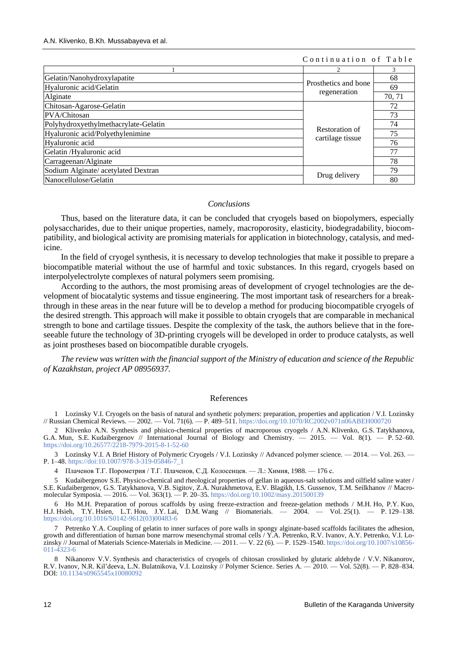#### Continuation of Table

|                                      |                                      | 3      |
|--------------------------------------|--------------------------------------|--------|
| Gelatin/Nanohydroxylapatite          | Prosthetics and bone<br>regeneration | 68     |
| Hyaluronic acid/Gelatin              |                                      | 69     |
| Alginate                             |                                      | 70, 71 |
| Chitosan-Agarose-Gelatin             | Restoration of<br>cartilage tissue   | 72     |
| PVA/Chitosan                         |                                      | 73     |
| Polyhydroxyethylmethacrylate-Gelatin |                                      | 74     |
| Hyaluronic acid/Polyethylenimine     |                                      | 75     |
| Hyaluronic acid                      |                                      | 76     |
| Gelatin /Hyaluronic acid             |                                      | 77     |
| Carrageenan/Alginate                 |                                      | 78     |
| Sodium Alginate/ acetylated Dextran  | Drug delivery                        | 79     |
| Nanocellulose/Gelatin                |                                      | 80     |

#### *Conclusions*

Thus, based on the literature data, it can be concluded that cryogels based on biopolymers, especially polysaccharides, due to their unique properties, namely, macroporosity, elasticity, biodegradability, biocompatibility, and biological activity are promising materials for application in biotechnology, catalysis, and medicine.

In the field of cryogel synthesis, it is necessary to develop technologies that make it possible to prepare a biocompatible material without the use of harmful and toxic substances. In this regard, cryogels based on interpolyelectrolyte complexes of natural polymers seem promising.

According to the authors, the most promising areas of development of cryogel technologies are the development of biocatalytic systems and tissue engineering. The most important task of researchers for a breakthrough in these areas in the near future will be to develop a method for producing biocompatible cryogels of the desired strength. This approach will make it possible to obtain cryogels that are comparable in mechanical strength to bone and cartilage tissues. Despite the complexity of the task, the authors believe that in the foreseeable future the technology of 3D-printing cryogels will be developed in order to produce catalysts, as well as joint prostheses based on biocompatible durable cryogels.

*The review was written with the financial support of the Ministry of education and science of the Republic of Kazakhstan, project AP 08956937.*

#### References

1 Lozinsky V.I. Cryogels on the basis of natural and synthetic polymers: preparation, properties and application / V.I. Lozinsky // Russian Chemical Reviews. — 2002. — Vol. 71(6). — P. 489–511[. https://doi.org/10.1070/RC2002v071n06ABEH000720](https://doi.org/10.1070/RC2002v071n06ABEH000720)

2 Klivenko A.N. Synthesis and phisico-chemical properties of macroporous cryogels / A.N. Klivenko, G.S. Tatykhanova, G.A. Mun, S.E. Kudaibergenov // International Journal of Biology and Chemistry. — 2015. — Vol. 8(1). — P. 52–60. <https://doi.org/10.26577/2218-7979-2015-8-1-52-60>

3 Lozinsky V.I. A Brief History of Polymeric Cryogels / V.I. Lozinsky // Advanced polymer science. — 2014. — Vol. 263. — P. 1–48[. https://doi:10.1007/978-3-319-05846-7\\_1](https://doi:10.1007/978-3-319-05846-7_1)

4 Плаченов Т.Г. Порометрия / Т.Г. Плаченов, С.Д. Колосенцев. — Л.: Химия, 1988. — 176 с.

5 Kudaibergenov S.E. Physico-chemical and rheological properties of gellan in aqueous-salt solutions and oilfield saline water / S.E. Kudaibergenov, G.S. Tatykhanova, V.B. Sigitov, Z.A. Nurakhmetova, E.V. Blagikh, I.S. Gussenov, T.M. Seilkhanov // Macromolecular Symposia. — 2016. — Vol. 363(1). — P. 20–35.<https://doi.org/10.1002/masy.201500139>

6 Ho M.H. Preparation of porous scaffolds by using freeze-extraction and freeze-gelation methods / M.H. Ho, P.Y. Kuo, Hisien. L.T. Hou, J.Y. Lai. D.M. Wang // Biomaterials.  $-2004.$   $-$  Vol. 25(1).  $-$  P. 129–138. H.J. Hsieh, T.Y. Hsien, L.T. Hou, J.Y. Lai, D.M. Wang // Biomaterials. – [https://doi.org/10.1016/S0142-9612\(03\)00483-6](https://doi.org/10.1016/S0142-9612(03)00483-6)

7 Petrenko Y.A. Coupling of gelatin to inner surfaces of pore walls in spongy alginate-based scaffolds facilitates the adhesion, growth and differentiation of human bone marrow mesenchymal stromal cells / Y.A. Petrenko, R.V. Ivanov, A.Y. Petrenko, V.I. Lozinsky // Journal of Materials Science-Materials in Medicine. — 2011. — V. 22 (6). — P. 1529–1540. [https://doi.org/10.1007/s10856-](https://doi.org/10.1007/s10856-011-4323-6) [011-4323-6](https://doi.org/10.1007/s10856-011-4323-6)

8 Nikanorov V.V. Synthesis and characteristics of cryogels of chitosan crosslinked by glutaric aldehyde / V.V. Nikanorov, R.V. Ivanov, N.R. Kil'deeva, L.N. Bulatnikova, V.I. Lozinsky // Polymer Science. Series А. — 2010. — Vol. 52(8). — P. 828–834. DOI[: 10.1134/s0965545x10080092](http://dx.doi.org/10.1134/s0965545x10080092)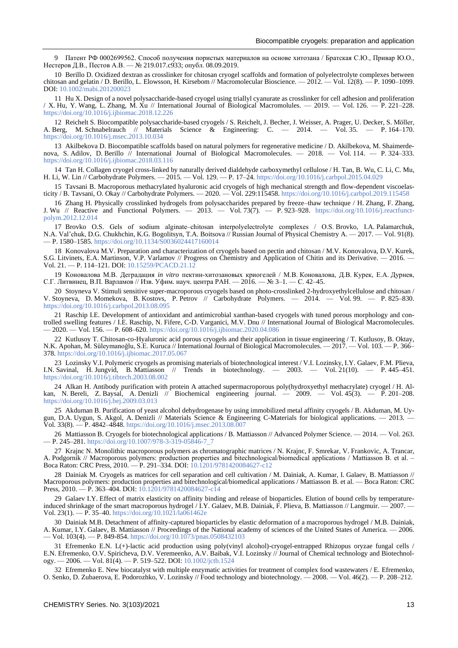9 Патент РФ 0002699562. Способ получения пористых материалов на основе хитозана / Братская С.Ю., Привар Ю.О., Нестеров Д.В., Пестов А.В. — № 219.017.c933; опубл. 08.09.2019.

10 Berillo D. Oxidized dextran as crosslinker for chitosan cryogel scaffolds and formation of polyelectrolyte complexes between chitosan and gelatin / D. Berillo, L. Elowsson, H. Kirsebom // Macromolecular Bioscience. — 2012. — Vol. 12(8). — P. 1090–1099. DOI[: 10.1002/mabi.201200023](https://doi.org/10.1002/mabi.201200023) 

11 Hu X. Design of a novel polysaccharide-based cryogel using triallyl cyanurate as crosslinker for cell adhesion and proliferation / X. Hu, Y. Wang, L. Zhang, M. Xu // International Journal of Biological Macromolules. — 2019. — Vol. 126. — P. 221–228. <https://doi.org/10.1016/j.ijbiomac.2018.12.226>

12 Reichelt S. Biocompatible polysaccharide-based cryogels / S. Reichelt, J. Becher, J. Weisser, A. Prager, U. Decker, S. Möller, A. Berg, M. Schnabelrauch // Materials Science & Engineering: C. — 2014. — Vol. 35. — P. 164–170. <https://doi.org/10.1016/j.msec.2013.10.034>

13 Akilbekova D. Biocompatible scaffolds based on natural polymers for regenerative medicine / D. Akilbekova, M. Shaimerdenova, S. Adilov, D. Berillo  $\hat{N}$  International Journal of Biological Macromolecules. — 2018. — Vol. 114. — P. 324–333. <https://doi.org/10.1016/j.ijbiomac.2018.03.116>

14 Tan H. Collagen cryogel cross-linked by naturally derived dialdehyde carboxymethyl cellulose / H. Tan, B. Wu, C. Li, C. Mu, H. Li, W. Lin // Carbohydrate Polymers. — 2015. — Vol. 129. — P. 17–24[. https://doi.org/10.1016/j.carbpol.2015.04.029](https://doi.org/10.1016/j.carbpol.2015.04.029)

15 Tavsani B. Macroporous methacrylated hyaluronic acid cryogels of high mechanical strength and flow-dependent viscoelasticity / B. Tavsani, O. Okay // Carbohydrate Polymers. — 2020. — Vol. 229:115458.<https://doi.org/10.1016/j.carbpol.2019.115458>

16 Zhang H. Physically crosslinked hydrogels from polysaccharides prepared by freeze–thaw technique / H. Zhang, F. Zhang, J. Wu // Reactive and Functional Polymers. — 2013. — Vol. 73(7). — P. 923–928. [https://doi.org/10.1016/j.reactfunct](https://doi.org/10.1016/j.reactfunctpolym.2012.12.014)[polym.2012.12.014](https://doi.org/10.1016/j.reactfunctpolym.2012.12.014)

17 Brovko O.S. Gels of sodium alginate-chitosan interpolyelectrolyte complexes / O.S. Brovko, I.A. Palamarchuk, N.A. Val'chuk, D.G. Chukhchin, K.G. Bogolitsyn, T.A. Boitsova // Russian Journal of Physical Chemistry A. — 2017. — Vol. 91(8). — P. 1580–1585. <https://doi.org/10.1134/S0036024417160014>

18 Konovalova M.V. Preparation and characterization of cryogels based on pectin and chitosan / M.V. Konovalova, D.V. Kurek, S.G. Litvinets, E.A. Martinson, V.P. Varlamov // Progress on Chemistry and Application of Chitin and its Derivative. *—* 2016. — Vol. 21. — P. 114–121. DOI[: 10.15259/PCACD.21.12](https://www.researchgate.net/deref/http%3A%2F%2Fdx.doi.org%2F10.15259%2FPCACD.21.12)

19 Коновалова М.В. Деградация *in vitro* пектин-хитозановых криогелей / М.В. Коновалова, Д.В. Курек, Е.А. Дурнев, С.Г. Литвинец, В.П. Варламов // Изв. Уфим. науч. центра РАН. — 2016. — № 3–1. — С. 42–45.

20 Stoyneva V. Stimuli sensitive super-macroporous cryogels based on photo-crosslinked 2-hydroxyethylcellulose and chitosan / V. Stoyneva, D. Momekova, B. Kostovs, P. Petrov // Carbohydrate Polymers. — 2014. — Vol. 99. — P. 825–830. <https://doi.org/10.1016/j.carbpol.2013.08.095>

21 Raschip I.E. Development of antioxidant and antimicrobial xanthan-based cryogels with tuned porous morphology and controlled swelling features / I.E. Raschip, N. Fifere, C-D. Varganici, M.V. Dnu // International Journal of Biological Macromolecules. — 2020. — Vol. 156. — P. 608–620[. https://doi.org/10.1016/j.ijbiomac.2020.04.086](https://doi.org/10.1016/j.ijbiomac.2020.04.086)

22 Kutlusoy T. Chitosan-co-Hyaluronic acid porous cryogels and their application in tissue engineering / T. Kutlusoy, B. Oktay, N.K. Apohan, M. Süleymanoğlu, S.E. Kuruca // International Journal of Biological Macromolecules. — 2017. — Vol. 103. — P. 366– 378[. https://doi.org/10.1016/j.ijbiomac.2017.05.067](https://doi.org/10.1016/j.ijbiomac.2017.05.067)

23 Lozinsky V.I. Polymeric cryogels as promising materials of biotechnological interest / V.I. Lozinsky, I.Y. Galaev, F.M. Plieva, I.N. Savinal, H. Jungvid, B. Mattiasson // Trends in biotechnology. — 2003. — Vol. 21(10). — P. 445–451. <https://doi.org/10.1016/j.tibtech.2003.08.002>

24 Alkan H. Antibody purification with protein A attached supermacroporous poly(hydroxyethyl methacrylate) cryogel / H. Alkan, N. Bereli, Z. Baysal, A. Denizli // Biochemical engineering journal. — 2009. — Vol. 45(3). — P. 201–208. <https://doi.org/10.1016/j.bej.2009.03.013>

25 Akduman B. Purification of yeast alcohol dehydrogenase by using immobilized metal affinity cryogels / B. Akduman, M. Uygun, D.A. Uygun, S. Akgol, A. Denizli // Materials Science & Engineering C-Materials for biological applications. — 2013. — Vol. 33(8). — P. 4842–4848[. https://doi.org/10.1016/j.msec.2013.08.007](https://doi.org/10.1016/j.msec.2013.08.007)

26 Mattiasson B. Cryogels for biotechnological applications / B. Mattiasson // Advanced Polymer Science. — 2014. — Vol. 263. — P. 245–281[. https://doi.org/10.1007/978-3-319-05846-7\\_7](https://doi.org/10.1007/978-3-319-05846-7_7)

27 Krajnc N. Monolithic macroporous polymers as chromatographic matrices / N. Krajnc, F. Smrekar, V. Frankovic, A. Trancar, A. Podgornik // Macroporous polymers: production properties and bitechnological/biomedical applications / Mattiasson B. et al. – Boca Raton: CRC Press, 2010. — P. 291–334. DOI[: 10.1201/9781420084627-c12](https://www.researchgate.net/deref/http%3A%2F%2Fdx.doi.org%2F10.1201%2F9781420084627-c12)

28 Dainiak M. Cryogels as matrices for cell separation and cell cultivation / M. Dainiak, A. Kumar, I. Galaev, B. Mattiasson // Macroporous polymers: production properties and bitechnological/biomedical applications / Mattiasson B. et al. — Boca Raton: CRC Press, 2010. — P. 363–404. DOI: [10.1201/9781420084627-c14](https://www.researchgate.net/deref/http%3A%2F%2Fdx.doi.org%2F10.1201%2F9781420084627-c14)

29 Galaev I.Y. Effect of matrix elasticity on affinity binding and release of bioparticles. Elution of bound cells by temperatureinduced shrinkage of the smart macroporous hydrogel / I.Y. Galaev, M.B. Dainiak, F. Plieva, B. Mattiasson // Langmuir. — 2007. — Vol. 23(1). — P. 35–40[. https://doi.org/10.1021/la061462e](https://doi.org/10.1021/la061462e)

30 Dainiak M.B. Detachment of affinity-captured bioparticles by elastic deformation of a macroporous hydrogel / M.B. Dainiak, A. Kumar, I.Y. Galaev, B. Mattiasson // Proceedings of the National academy of sciences of the United States of America. — 2006. — Vol. 103(4). — P. 849-854[. https://doi.org/10.1073/pnas.0508432103](https://doi.org/10.1073/pnas.0508432103)

31 Efremenko E.N. L(+)-lactic acid production using poly(vinyl alcohol)-cryogel-entrapped Rhizopus oryzae fungal cells / E.N. Efremenko, O.V. Spiricheva, D.V. Veremeenko, A.V. Baibak, V.I. Lozinsky // Journal of Chemical technology and Biotechnology. — 2006. — Vol.  $81(4)$ . — P. 519–522. DOI: [10.1002/jctb.1524](https://www.researchgate.net/deref/http%3A%2F%2Fdx.doi.org%2F10.1002%2Fjctb.1524)

32 Efremenko E. New biocatalyst with multiple enzymatic activities for treatment of complex food wastewaters / E. Efremenko, O. Senko, D. Zubaerova, E. Podorozhko, V. Lozinsky // Food technology and biotechnology. — 2008. — Vol. 46(2). — P. 208–212.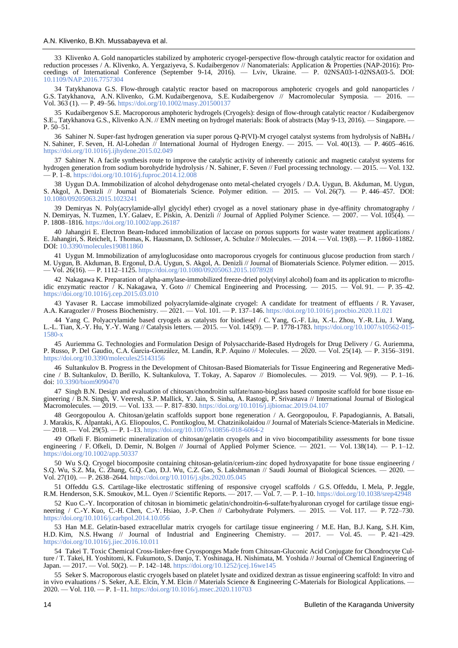33 Klivenko A. Gold nanoparticles stabilized by amphoteric cryogel-perspective flow-through catalytic reactor for oxidation and reduction processes / A. Klivenko, A. Yergaziyeva, S. Kudaibergenov // Nanomaterials: Application & Properties (NAP-2016): Proceedings of International Conference (September 9-14, 2016). — Lviv, Ukraine. — P. 02NSA03-1-02NSA03-5. DOI: [10.1109/NAP.2016.7757304](https://doi.org/10.1109/NAP.2016.7757304)

34 Tatykhanova G.S. Flow-through catalytic reаctor based on macroporous amphoteric cryogels and gold nanoparticles / G.S. Tatykhanova, A.N. Klivenko, G.M. Kudaibergenova, S.E. Kudaibergenov // Macromolecular Symposia. — 2016. — Vol. 363 (1). — P. 49–56.<https://doi.org/10.1002/masy.201500137>

35 Kudaibergenov S.E. Macroporous amphoteric hydrogels (Cryogels): design of flow-through catalytic reactor / Kudaibergenov S.E., Tatykhanova G.S., Klivenko A.N. // EMN meeting on hydrogel materials: Book of abstracts (May 9-13, 2016). — Singapore. — P. 50–51.

36 Sahiner N. Super-fast hydrogen generation via super porous Q-P(VI)-M cryogel catalyst systems from hydrolysis of NaBH<sup>4</sup> / N. Sahiner, F. Seven, H. Al-Lohedan // International Journal of Hydrogen Energy. — 2015. — Vol. 40(13). — P. 4605–4616. <https://doi.org/10.1016/j.ijhydene.2015.02.049>

37 Sahiner N. A facile synthesis route to improve the catalytic activity of inherently cationic and magnetic catalyst systems for hydrogen generation from sodium borohydride hydrolysis / N. Sahiner, F. Seven // Fuel processing technology. — 2015. — Vol. 132. — P. 1–8[. https://doi.org/10.1016/j.fuproc.2014.12.008](https://doi.org/10.1016/j.fuproc.2014.12.008)

38 Uygun D.A. Immobilization of alcohol dehydrogenase onto metal-chelated cryogels / D.A. Uygun, B. Akduman, M. Uygun, S. Akgol, A. Denizli // Journal of Biomaterials Science. Polymer edition. — 2015. — Vol. 26(7). — P. 446–457. DOI: [10.1080/09205063.2015.1023241](https://doi.org/10.1080/09205063.2015.1023241) 

39 Demiryas N. Poly(acrylamide-allyl glycidyl ether) cryogel as a novel stationary phase in dye-affinity chromatography / N. Demiryas, N. Tuzmen, I.Y. Galaev, E. Piskin, A. Denizli // Journal of Applied Polymer Science. — 2007. — Vol. 105(4). — P. 1808–1816.<https://doi.org/10.1002/app.26187>

40 Jahangiri E. Electron Beam-Induced immobilization of laccase on porous supports for waste water treatment applications / E. Jahangiri, S. Reichelt, I. Thomas, K. Hausmann, D. Schlosser, A. Schulze // Molecules. — 2014. — Vol. 19(8). — P. 11860–11882. DOI[: 10.3390/molecules190811860](https://doi.org/10.3390/molecules190811860) 

41 Uygun M. Immobilization of amyloglucosidase onto macroporous cryogels for continuous glucose production from starch / M. Uygun, B. Akduman, B. Ergonul, D.A. Uygun, S. Akgol, A. Denizli // Journal of Biomaterials Science. Polymer edition. — 2015. — Vol. 26(16). — P. 1112–1125.<https://doi.org/10.1080/09205063.2015.1078928>

42 Nakagawa K. Preparation of alpha-amylase-immobilized freeze-dried poly(vinyl alcohol) foam and its application to microfluidic enzymatic reactor  $\overline{\phantom{a}}$  K. Nakagawa, Y. Goto  $\overline{\phantom{a}}$  Chemical Engineering and Processing. — 2015. — Vol. 91. — P. 35–42. <https://doi.org/10.1016/j.cep.2015.03.010>

43 Yavaser R. Laccase immobilized polyacrylamide-alginate cryogel: A candidate for treatment of effluents / R. Yavaser, A.A. Karagozler // Prosess Biochemistry. — 2021. — Vol. 101. — P. 137–146. https://doi.org/10.1016/j.p  $\overline{A}$  - 2021. — Vol. 101. — P. 137–146.<https://doi.org/10.1016/j.procbio.2020.11.021>

44 Yang C. Polyacrylamide based cryogels as catalysts for biodiesel / C. Yang, G.-F. Liu, X.-L. Zhou, Y.-R. Liu, J. Wang, L.-L. Tian, X.-Y. Hu, Y.-Y. Wang // Catalysis letters. — 2015. — Vol. 145(9). — P. 1778-1783. [https://doi.org/10.1007/s10562-015-](https://doi.org/10.1007/s10562-015-1580-x) [1580-x](https://doi.org/10.1007/s10562-015-1580-x)

45 Auriemma G. Technologies and Formulation Design of Polysaccharide-Based Hydrogels for Drug Delivery / G. Auriemma, P. Russo, P. Del Gaudio, C.A. García-González, M. Landín, R.P. Aquino // Molecules. — 2020. — Vol. 25(14). — P. 3156–3191. <https://doi.org/10.3390/molecules25143156>

46 Sultankulov B. Progress in the Development of Chitosan-Based Biomaterials for Tissue Engineering and Regenerative Medicine / B. Sultankulov, D. Berillo, K. Sultankulova, T. Tokay, A. Saparov // Biomolecules. — 2019. — Vol. 9(9). — P. 1–16. doi: [10.3390/biom9090470](https://dx.doi.org/10.3390%2Fbiom9090470)

47 Singh B.N. Design and evaluation of chitosan/chondroitin sulfate/nano-bioglass based composite scaffold for bone tissue engineering / B.N. Singh, V. Veeresh, S.P. Mallick, Y. Jain, S. Sinha, A. Rastogi, P. Srivastava // International Journal of Biological Macromolecules. — 2019. — Vol. 133. — P. 817–830. <https://doi.org/10.1016/j.ijbiomac.2019.04.107>

48 Georgopoulou A. Chitosan/gelatin scaffolds support bone regeneration / A. Georgopoulou, F. Papadogiannis, A. Batsali, J. Marakis, K. Alpantaki, A.G. Eliopoulos, C. Pontikoglou, M. Chatzinikolaidou // Journal of Materials Science-Materials in Medicine.  $-2018.$   $-$  Vol. 29(5).  $-$  P. 1–13. <https://doi.org/10.1007/s10856-018-6064-2>

49 Ofkeli F. Biomimetic mineralization of chitosan/gelatin cryogels and in vivo biocompatibility assessments for bone tissue engineering / F. Ofkeli, D. Demir, N. Bolgen // Journal of Applied Polymer Science. — 2021. — Vol. 138(14). — P. 1–12. <https://doi.org/10.1002/app.50337>

50 Wu S.Q. Cryogel biocomposite containing chitosan-gelatin/cerium-zinc doped hydroxyapatite for bone tissue engineering / S.Q. Wu, S.Z. Ma, C. Zhang, G.Q. Cao, D.J. Wu, C.Z. Gao, S. Lakshmanan // Saudi Journal of Biological Sciences. — 2020. — Vol. 27(10). — P. 2638–2644. <https://doi.org/10.1016/j.sjbs.2020.05.045>

51 Offeddu G.S. Cartilage-like electrostatic stiffening of responsive cryogel scaffolds / G.S. Offeddu, I. Mela, P. Jeggle, R.M. Henderson, S.K. Smoukov, M.L. Oyen // Scientific Reports. — 2017. — Vol. 7. — P. 1–10.<https://doi.org/10.1038/srep42948>

52 Kuo C.-Y. Incorporation of chitosan in biomimetic gelatin/chondroitin-6-sulfate/hyaluronan cryogel for cartilage tissue engineering / C.-Y. Kuo, C.-H. Chen, C.-Y. Hsiao, J.-P. Chen // Carbohydrate Polymers. — 2015. — Vol. 117. — P. 722–730. <https://doi.org/10.1016/j.carbpol.2014.10.056>

53 Han M.E. Gelatin-based extracellular matrix cryogels for cartilage tissue engineering / M.E. Han, B.J. Kang, S.H. Kim, H.D. Kim, N.S. Hwang // Journal of Industrial and Engineering Chemistry. — 2017. — Vol. 45. — P. 421–429. <https://doi.org/10.1016/j.jiec.2016.10.011>

54 Takei T. Toxic Chemical Cross-linker-free Cryosponges Made from Chitosan-Gluconic Acid Conjugate for Chondrocyte Culture / T. Takei, H. Yoshitomi, K. Fukumoto, S. Danjo, T. Yoshinaga, H. Nishimata, M. Yoshida // Journal of Chemical Engineering of Japan. — 2017. — Vol. 50(2). — P. 142–148[. https://doi.org/10.1252/jcej.16we145](https://doi.org/10.1252/jcej.16we145)

55 Seker S. Macroporous elastic cryogels based on platelet lysate and oxidized dextran as tissue engineering scaffold: In vitro and in vivo evaluations / S. Seker, A.E. Elcin, Y.M. Elcin // Materials Science & Engineering C-Materials for Biological Applications. – 2020. — Vol. 110. — P. 1–11[. https://doi.org/10.1016/j.msec.2020.110703](https://doi.org/10.1016/j.msec.2020.110703)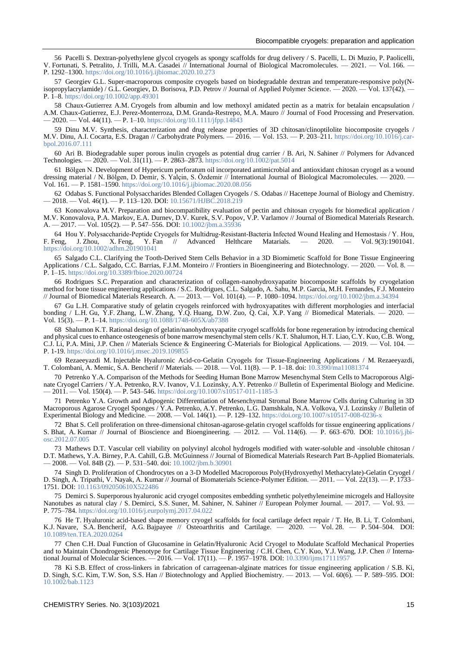56 Pacelli S. Dextran-polyethylene glycol cryogels as spongy scaffolds for drug delivery / S. Pacelli, L. Di Muzio, P. Paolicelli, V. Fortunati, S. Petralito, J. Trilli, M.A. Casadei // International Journal of Biological Macromolecules. — 2021. — Vol. 166. — Р. 1292–1300.<https://doi.org/10.1016/j.ijbiomac.2020.10.273>

57 Georgiev G.L. Super-macroporous composite cryogels based on biodegradable dextran and temperature-responsive poly(Nisopropylacrylamide) / G.L. Georgiev, D. Borisova, P.D. Petrov // Journal of Applied Polymer Science. — 2020. — Vol. 137(42). — P. 1–8.<https://doi.org/10.1002/app.49301>

58 Chaux-Gutierrez A.M. Cryogels from albumin and low methoxyl amidated pectin as a matrix for betalain encapsulation / A.M. Chaux-Gutierrez, E.J. Perez-Monterroza, D.M. Granda-Restrepo, M.A. Mauro // Journal of Food Processing and Preservation. — 2020. — Vol. 44(11). — P. 1–10[. https://doi.org/10.1111/jfpp.14843](https://doi.org/10.1111/jfpp.14843)

59 Dinu M.V. Synthesis, characterization and drug release properties of 3D chitosan/clinoptilolite biocomposite cryogels / M.V. Dinu, A.I. Cocarta, E.S. Dragan // Carbohydrate Polymers. - 2016. - Vol. 153. - P. 203-211. [https://doi.org/10.1016/j.car](https://doi.org/10.1016/j.carbpol.2016.07.111)[bpol.2016.07.111](https://doi.org/10.1016/j.carbpol.2016.07.111)

60 Ari B. Biodegradable super porous inulin cryogels as potential drug carrier / B. Ari, N. Sahiner // Polymers for Advanced Technologies. — 2020. — Vol. 31(11). — P. 2863–2873.<https://doi.org/10.1002/pat.5014>

61 Bölgen N. Development of Hypericum perforatum oil incorporated antimicrobial and antioxidant chitosan cryogel as a wound dressing material / N. Bölgen, D. Demir, S. Yalçin, S. Özdemir // International Journal of Biological Macromolecules. — 2020. — Vol. 161. — P. 1581–1590. <https://doi.org/10.1016/j.ijbiomac.2020.08.056>

62 Odabas S. Functional Polysaccharides Blended Collagen Cryogels / S. Odabas // Hacettepe Journal of Biology and Chemistry. — 2018. — Vol. 46(1). — P. 113–120. DOI:<10.15671/HJBC.2018.219>

63 Konovalova M.V. Preparation and biocompatibility evaluation of pectin and chitosan cryogels for biomedical application / M.V. Konovalova, P.A. Markov, E.A. Durnev, D.V. Kurek, S.V. Popov, V.P. Varlamov // Journal of Biomedical Materials Research. A. — 2017. — Vol. 105(2). — P. 547–556. DOI[: 10.1002/jbm.a.35936](https://doi.org/10.1002/jbm.a.35936) 

64 Hou Y. Polysaccharide‐Peptide Cryogels for Multidrug‐Resistant‐Bacteria Infected Wound Healing and Hemostasis / Y. Hou,<br>
Feng. J. Zhou, X. Feng. Y. Fan // Advanced Helthcare Matarials. — 2020. — Vol. 9(3):1901041. F. Feng, J. Zhou, X. Feng, <https://doi.org/10.1002/adhm.201901041>

65 Salgado C.L. Clarifying the Tooth-Derived Stem Cells Behavior in a 3D Biomimetic Scaffold for Bone Tissue Engineering Applications / C.L. Salgado, C.C. Barrias, F.J.M. Monteiro // Frontiers in Bioengineering and Biotechnology. — 2020. — Vol. 8. P. 1–15[. https://doi.org/10.3389/fbioe.2020.00724](https://doi.org/10.3389/fbioe.2020.00724)

66 Rodrigues S.C. Preparation and characterization of collagen-nanohydroxyapatite biocomposite scaffolds by cryogelation method for bone tissue engineering applications / S.C. Rodrigues, C.L. Salgado, A. Sahu, M.P. Garcia, M.H. Fernandes, F.J. Monteiro // Journal of Biomedical Materials Research. A. — 2013. — Vol. 101(4). — P. 1080–1094[. https://doi.org/10.1002/jbm.a.34394](https://doi.org/10.1002/jbm.a.34394)

67 Gu L.H. Comparative study of gelatin cryogels reinforced with hydroxyapatites with different morphologies and interfacial bonding / L.H. Gu, Y.F. Zhang, L.W. Zhang, Y.Q. Huang, D.W. Zuo, Q. Cai, X.P. Yang // Biomedical Materials. — 2020. -Vol. 15(3). — P. 1–14.<https://doi.org/10.1088/1748-605X/ab7388>

68 Shalumon K.T. Rational design of gelatin/nanohydroxyapatite cryogel scaffolds for bone regeneration by introducing chemical and physical cues to enhance osteogenesis of bone marrow mesenchymal stem cells / K.T. Shalumon, H.T. Liao, C.Y. Kuo, C.B. Wong, C.J. Li, P.A. Mini, J.P. Chen // Materials Science & Engineering C-Materials for Biological Applications. — 2019. — Vol. 104. P. 1-19.<https://doi.org/10.1016/j.msec.2019.109855>

69 Rezaeeyazdi M. Injectable Hyaluronic Acid-co-Gelatin Cryogels for Tissue-Engineering Applications / M. Rezaeeyazdi, T. Colombani, A. Memic, S.A. Bencherif // Materials. — 2018. — Vol. 11(8). — P. 1–18. doi: [10.3390/ma11081374](https://dx.doi.org/10.3390%2Fma11081374)

70 Petrenko Y.A. Comparison of the Methods for Seeding Human Bone Marrow Mesenchymal Stem Cells to Macroporous Alginate Cryogel Carriers / Y.A. Petrenko, R.V. Ivanov, V.I. Lozinsky, A.Y. Petrenko // Bulletin of Experimental Biology and Medicine. — 2011. — Vol. 150(4). — P. 543–546.<https://doi.org/10.1007/s10517-011-1185-3>

71 Petrenko Y.A. Growth and Adipogenic Differentiation of Mesenchymal Stromal Bone Marrow Cells during Culturing in 3D Macroporous Agarose Cryogel Sponges / Y.A. Petrenko, A.Y. Petrenko, L.G. Damshkaln, N.A. Volkova, V.I. Lozinsky // Bulletin of Experimental Biology and Medicine. — 2008. — Vol. 146(1). — P. 129–132[. https://doi.org/10.1007/s10517-008-0236-x](https://doi.org/10.1007/s10517-008-0236-x)

72 Bhat S. Cell proliferation on three-dimensional chitosan-agarose-gelatin cryogel scaffolds for tissue engineering applications / S. Bhat, A. Kumar  $\hat{N}$  Journal of Bioscience and Bioengineering. — 2012. — Vol. 114(6). — P. 663–670. DOI: [10.1016/j.jbi](https://doi.org/10.1016/j.jbiosc.2012.07.005)[osc.2012.07.005](https://doi.org/10.1016/j.jbiosc.2012.07.005) 

73 Mathews D.T. Vascular cell viability on polyvinyl alcohol hydrogels modified with water-soluble and -insoluble chitosan / D.T. Mathews, Y.A. Birney, P.A. Cahill, G.B. McGuinness // Journal of Biomedical Materials Research Part B-Applied Biomaterials. — 2008. — Vol. 84B (2). — P. 531–540. doi: <10.1002/jbm.b.30901>

74 Singh D. Proliferation of Chondrocytes on a 3-D Modelled Macroporous Poly(Hydroxyethyl Methacrylate)-Gelatin Cryogel / D. Singh, A. Tripathi, V. Nayak, A. Kumar // Journal of Biomaterials Science-Polymer Edition. — 2011. — Vol. 22(13). — P. 1733– 1751. DOI[: 10.1163/092050610X522486](https://doi.org/10.1163/092050610x522486) 

75 Demirci S. Superporous hyaluronic acid cryogel composites embedding synthetic polyethyleneimine microgels and Halloysite Nanotubes as natural clay / S. Demirci, S.S. Suner, M. Sahiner, N. Sahiner // European Polymer Journal. — 2017. — Vol. 93. – P. 775–784.<https://doi.org/10.1016/j.eurpolymj.2017.04.022>

76 He T. Hyaluronic acid-based shape memory cryogel scaffolds for focal cartilage defect repair / T. He, B. Li, T. Colombani, K.J. Navare, S.A. Bencherif, A.G. Bajpayee // Osteoarthritis and Cartilage. — 2020. — Vol. 28. — P. 504–504. DOI: [10.1089/ten.TEA.2020.0264](https://doi.org/10.1089/ten.tea.2020.0264) 

77 Chen C.H. Dual Function of Glucosamine in Gelatin/Hyaluronic Acid Cryogel to Modulate Scaffold Mechanical Properties and to Maintain Chondrogenic Phenotype for Cartilage Tissue Engineering / C.H. Chen, C.Y. Kuo, Y.J. Wang, J.P. Chen // International Journal of Molecular Sciences. — 2016. — Vol. 17(11). — P. 1957–1978. DOI[: 10.3390/ijms17111957](https://doi.org/10.3390/ijms17111957) 

78 Ki S.B. Effect of cross-linkers in fabrication of carrageenan-alginate matrices for tissue engineering application / S.B. Ki, D. Singh, S.C. Kim, T.W. Son, S.S. Han // Biotechnology and Applied Biochemistry. — 2013. — Vol. 60(6).  $\hat{P}$ P. 589–595. DOI: [10.1002/bab.1123](https://doi.org/10.1002/bab.1123)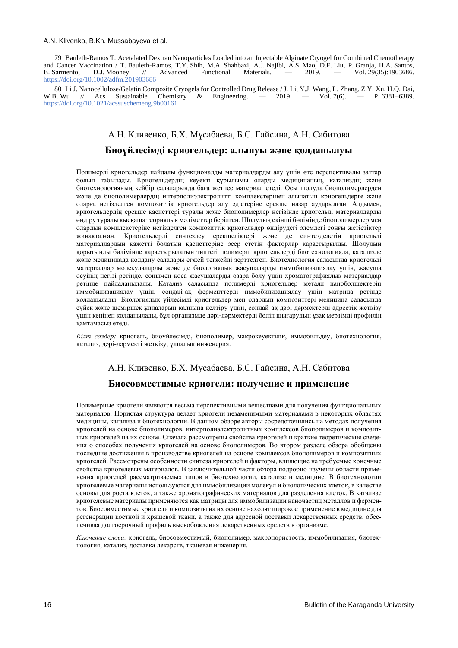79 Bauleth-Ramos T. Acetalated Dextran Nanoparticles Loaded into an Injectable Alginate Cryogel for Combined Chemotherapy and Cancer Vaccination / T. Bauleth-Ramos, T.Y. Shih, M.A. Shahbazi, A.J. Najibi, A.S. Mao, D.F. Liu, P. Granja, H.A. Santos, B. Sarmento, D.J. Mooney // Advanced Functional Materials. — 2019. — Vol. 29(35):1903686. <https://doi.org/10.1002/adfm.201903686>

80 Li J. Nanocellulose/Gelatin Composite Cryogels for Controlled Drug Release / J. Li, Y.J. Wang, L. Zhang, Z.Y. Xu, H.Q. Dai, W.B. Wu // Acs Sustainable Chemistry & Engineering. — 2019. — Vol. 7(6). — P. 6381–6389. & Engineering. — 2019. — Vol. 7(6). — P. 6381–6389. <https://doi.org/10.1021/acssuschemeng.9b00161>

# А.Н. Кливенко, Б.Х. Мұсабаева, Б.С. Гайсина, А.Н. Сабитова **Биоүйлесімді криогельдер: алынуы және қолданылуы**

Полимерлі криогельдер пайдалы функционалды материалдарды алу үшін өте перспективалы заттар болып табылады. Криогельдердің кеуекті құрылымы оларды медицинаның, катализдің және биотехнологияның кейбір салаларында баға жетпес материал етеді. Осы шолуда биополимерлерден және де биополимерлердің интерполиэлектролитті комплекстерінен алынатын криогельдерге және оларға негізделген композиттік криогельдер алу әдістеріне ерекше назар аударылған. Алдымен, криогельдердің ерекше қасиеттері туралы және биополимерлер негізінде криогельді материалдарды өндіру туралы қысқаша теориялық мәліметтер берілген. Шолудың екінші бөлімінде биополимерлер мен олардың комплекстеріне негізделген композиттік криогельдер өндірудегі әлемдегі соңғы жетістіктер жинақталған. Криогельдерді синтездеу ерекшеліктері және де синтезделетін криогельді материалдардың қажетті болатын қасиеттеріне әсер ететін факторлар қарастырылды. Шолудың қорытынды бөлімінде қарастырылатын типтегі полимерлі криогельдерді биотехнологияда, катализде және медицинада қолдану салалары егжей-тегжейлі зерттелген. Биотехнология саласында криогельді материалдар молекулаларды және де биологиялық жасушаларды иммобилизациялау үшін, жасуша өсуінің негізі ретінде, сонымен қоса жасушаларды өзара бөлу үшін хроматографиялық материалдар ретінде пайдаланылады. Катализ саласында полимерлі криогельдер металл нанобөлшектерін иммобилизациялау үшін, сондай-ақ ферменттерді иммобилизациялау үшін матрица ретінде қолданылады. Биологиялық үйлесімді криогельдер мен олардың композиттері медицина саласында сүйек және шеміршек ұлпаларын қалпына келтіру үшін, сондай-ақ дәрі-дәрмектерді адрестік жеткізу үшін кеңінен қолданылады, бұл организмде дәрі-дәрмектерді бөліп шығарудың ұзақ мерзімді профилін қамтамасыз етеді.

*Кілт сөздер:* криогель, биоүйлесімді, биополимер, макрокеуектілік, иммобильдеу, биотехнология, катализ, дәрі-дәрмекті жеткізу, ұлпалық инженерия.

## А.Н. Кливенко, Б.Х. Мусабаева, Б.С. Гайсина, А.Н. Сабитова

#### **Биосовместимые криогели: получение и применение**

Полимерные криогели являются весьма перспективными веществами для получения функциональных материалов. Пористая структура делает криогели незаменимыми материалами в некоторых областях медицины, катализа и биотехнологии. В данном обзоре авторы сосредоточились на методах получения криогелей на основе биополимеров, интерполиэлектролитных комплексов биополимеров и композитных криогелей на их основе. Сначала рассмотрены свойства криогелей и краткие теоретические сведения о способах получения криогелей на основе биополимеров. Во втором разделе обзора обобщены последние достижения в производстве криогелей на основе комплексов биополимеров и композитных криогелей. Рассмотрены особенности синтеза криогелей и факторы, влияющие на требуемые конечные свойства криогелевых материалов. В заключительной части обзора подробно изучены области применения криогелей рассматриваемых типов в биотехнологии, катализе и медицине. В биотехнологии криогелевые материалы используются для иммобилизации молекул и биологических клеток, в качестве основы для роста клеток, а также хроматографических материалов для разделения клеток. В катализе криогелевые материалы применяются как матрицы для иммобилизации наночастиц металлов и ферментов. Биосовместимые криогели и композиты на их основе находят широкое применение в медицине для регенерации костной и хрящевой ткани, а также для адресной доставки лекарственных средств, обеспечивая долгосрочный профиль высвобождения лекарственных средств в организме.

*Ключевые слова:* криогель, биосовместимый, биополимер, макропористость, иммобилизация, биотехнология, катализ, доставка лекарств, тканевая инженерия.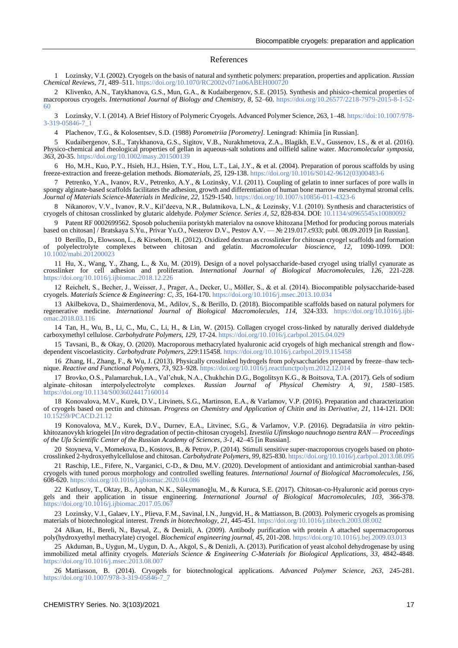#### References

1 Lozinsky, V.I. (2002). Cryogels on the basis of natural and synthetic polymers: preparation, properties and application. *Russian Chemical Reviews, 71,* 489–511.<https://doi.org/10.1070/RC2002v071n06ABEH000720>

2 Klivenko, A.N., Tatykhanova, G.S., Mun, G.A., & Kudaibergenov, S.E. (2015). Synthesis and phisico-chemical properties of macroporous cryogels. *International Journal of Biology and Chemistry, 8,* 52–60. [https://doi.org/10.26577/2218-7979-2015-8-1-52-](https://doi.org/10.26577/2218-7979-2015-8-1-52-60) [60](https://doi.org/10.26577/2218-7979-2015-8-1-52-60) 

3 Lozinsky, V. I. (2014). A Brief History of Polymeric Cryogels. Advanced Polymer Science, 263, 1–48[. https://doi:10.1007/978-](https://doi:10.1007/978-3-319-05846-7_1) [3-319-05846-7\\_1](https://doi:10.1007/978-3-319-05846-7_1)

4 Plachenov, T.G., & Kolosentsev, S.D. (1988) *Porometriia [Porometry].* Leningrad: Khimiia [in Russian].

5 Kudaibergenov, S.E., Tatykhanova, G.S., Sigitov, V.B., Nurakhmetova, Z.A., Blagikh, E.V., Gussenov, I.S., & et al. (2016). Physico-chemical and rheological properties of gellan in aqueous-salt solutions and oilfield saline water. *Macromolecular symposia, 363,* 20-35[. https://doi.org/10.1002/masy.201500139](https://doi.org/10.1002/masy.201500139)

6 Ho, M.H., Kuo, P.Y., Hsieh, H.J., Hsien, T.Y., Hou, L.T., Lai, J.Y., & et al. (2004). Preparation of porous scaffolds by using freeze-extraction and freeze-gelation methods. *Biomaterials, 25,* 129-138[. https://doi.org/10.1016/S0142-9612\(03\)00483-6](https://doi.org/10.1016/S0142-9612(03)00483-6)

7 Petrenko, Y.A., Ivanov, R.V., Petrenko, A.Y., & Lozinsky, V.I. (2011). Coupling of gelatin to inner surfaces of pore walls in spongy alginate-based scaffolds facilitates the adhesion, growth and differentiation of human bone marrow mesenchymal stromal cells. *Journal of Materials Science-Materials in Medicine, 22,* 1529-1540[. https://doi.org/10.1007/s10856-011-4323-6](https://doi.org/10.1007/s10856-011-4323-6)

8 Nikanorov, V.V., Ivanov, R.V., Kil'deeva, N.R., Bulatnikova, L.N., & Lozinsky, V.I. (2010). Synthesis and characteristics of cryogels of chitosan crosslinked by glutaric aldehyde. *Polymer Science. Series А, 52*, 828-834. DOI[: 10.1134/s0965545x10080092](http://dx.doi.org/10.1134/s0965545x10080092)

9 Patent RF 0002699562. Sposob polucheniia poristykh materialov na osnove khitozana [Method for producing porous materials based on chitosan] / Bratskaya S.Yu., Privar Yu.O., Nesterov D.V., Pestov A.V. — № 219.017.c933; publ. 08.09.2019 [in Russian].

10 Berillo, D., Elowsson, L., & Kirsebom, H. (2012). Oxidized dextran as crosslinker for chitosan cryogel scaffolds and formation of polyelectrolyte complexes between chitosan and gelatin. *Macromolecular bioscience, 12,* 1090-1099. DOI: [10.1002/mabi.201200023](https://doi.org/10.1002/mabi.201200023) 

11 Hu, X., Wang, Y., Zhang, L., & Xu, M. (2019). Design of a novel polysaccharide-based cryogel using triallyl cyanurate as crosslinker for cell adhesion and proliferation. *International Journal of Biological Macromolecules, 126,* 221-228. <https://doi.org/10.1016/j.ijbiomac.2018.12.226>

12 Reichelt, S., Becher, J., Weisser, J., Prager, A., Decker, U., Möller, S., & et al. (2014). Biocompatible polysaccharide-based cryogels. *Materials Science & Engineering: C, 35,* 164-170.<https://doi.org/10.1016/j.msec.2013.10.034>

13 Akilbekova, D., Shaimerdenova, M., Adilov, S., & Berillo, D. (2018). Biocompatible scaffolds based on natural polymers for regenerative medicine. *International Journal of Biological Macromolecules, 114,* 324-333. [https://doi.org/10.1016/j.ijbi](https://doi.org/10.1016/j.ijbiomac.2018.03.116)[omac.2018.03.116](https://doi.org/10.1016/j.ijbiomac.2018.03.116)

14 Tan, H., Wu, B., Li, C., Mu, C., Li, H., & Lin, W. (2015). Collagen cryogel cross-linked by naturally derived dialdehyde carboxymethyl cellulose. *Carbohydrate Polymers, 129,* 17-24. <https://doi.org/10.1016/j.carbpol.2015.04.029>

15 Tavsani, B., & Okay, O. (2020). Macroporous methacrylated hyaluronic acid cryogels of high mechanical strength and flowdependent viscoelasticity. *Carbohydrate Polymers, 229*:115458[. https://doi.org/10.1016/j.carbpol.2019.115458](https://doi.org/10.1016/j.carbpol.2019.115458)

16 Zhang, H., Zhang, F., & Wu, J. (2013). Physically crosslinked hydrogels from polysaccharides prepared by freeze–thaw technique. *Reactive and Functional Polymers, 73*, 923–928. <https://doi.org/10.1016/j.reactfunctpolym.2012.12.014>

17 Brovko, O.S., Palamarchuk, I.A., Val'chuk, N.A., Chukhchin D.G., Bogolitsyn K.G., & Boitsova, T.A. (2017). Gels of sodium alginate-chitosan interpolyelectrolyte complexes. Russian Journal of Physical Chemistry A, 91, 1580-1585. <https://doi.org/10.1134/S0036024417160014>

18 Konovalova, M.V., Kurek, D.V., Litvinets, S.G., Martinson, E.A., & Varlamov, V.P. (2016). Preparation and characterization of cryogels based on pectin and chitosan. *Progress on Chemistry and Application of Chitin and its Derivative, 21,* 114-121. DOI: [10.15259/PCACD.21.12](https://www.researchgate.net/deref/http%3A%2F%2Fdx.doi.org%2F10.15259%2FPCACD.21.12)

19 Konovalova, M.V., Kurek, D.V., Durnev, E.A., Litvinec, S.G., & Varlamov, V.P. (2016). Degradatsiia *in vitro* pektinkhitozanovykh kriogelei [*In vitro* degradation of pectin-chitosan cryogels]. *Izvestiia Ufimskogo nauchnogo tsentra RAN — Proceedings of the Ufa Scientific Center of the Russian Academy of Sciences, 3-1,* 42–45 [in Russian].

20 Stoyneva, V., Momekova, D., Kostovs, B., & Petrov, P. (2014). Stimuli sensitive super-macroporous cryogels based on photocrosslinked 2-hydroxyethylcellulose and chitosan. *Carbohydrate Polymers, 99,* 825-830[. https://doi.org/10.1016/j.carbpol.2013.08.095](https://doi.org/10.1016/j.carbpol.2013.08.095)

21 Raschip, I.E., Fifere, N., Varganici, C-D., & Dnu, M.V. (2020). Development of antioxidant and antimicrobial xanthan-based cryogels with tuned porous morphology and controlled swelling features. *International Journal of Biological Macromolecules, 156,* 608-620[. https://doi.org/10.1016/j.ijbiomac.2020.04.086](https://doi.org/10.1016/j.ijbiomac.2020.04.086)

22 Kutlusoy, T., Oktay, B., Apohan, N.K., Süleymanoğlu, M., & Kuruca, S.E. (2017). Chitosan-co-Hyaluronic acid porous cryogels and their application in tissue engineering. *International Journal of Biological Macromolecules, 103,* 366-378. <https://doi.org/10.1016/j.ijbiomac.2017.05.067>

23 Lozinsky, V.I., Galaev, I.Y., Plieva, F.M., Savinal, I.N., Jungvid, H., & Mattiasson, B. (2003). Polymeric cryogels as promising materials of biotechnological interest. *Trends in biotechnology, 21,* 445-451.<https://doi.org/10.1016/j.tibtech.2003.08.002>

24 Alkan, H., Bereli, N., Baysal, Z., & Denizli, A. (2009). Antibody purification with protein A attached supermacroporous poly(hydroxyethyl methacrylate) cryogel. *Biochemical engineering journal, 45,* 201-208. <https://doi.org/10.1016/j.bej.2009.03.013>

25 Akduman, B., Uygun, M., Uygun, D. A., Akgol, S., & Denizli, A. (2013). Purification of yeast alcohol dehydrogenase by using immobilized metal affinity cryogels. *Materials Science & Engineering C-Materials for Biological Applications, 33,* 4842-4848. <https://doi.org/10.1016/j.msec.2013.08.007>

26 Mattiasson, B. (2014). Cryogels for biotechnological applications. *Advanced Polymer Science, 263*, 245-281. [https://doi.org/10.1007/978-3-319-05846-7\\_7](https://doi.org/10.1007/978-3-319-05846-7_7)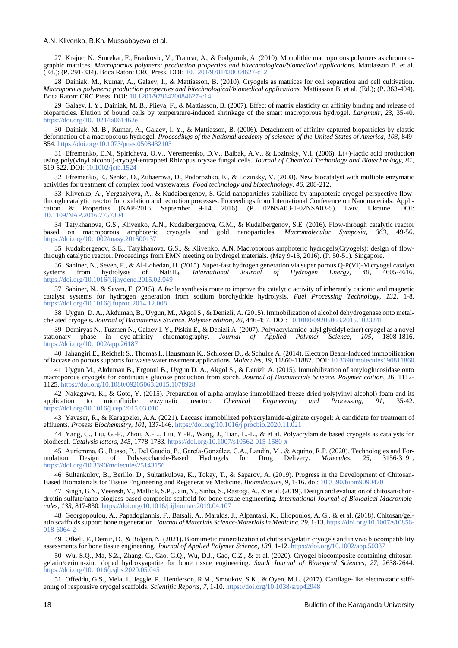27 Krajnc, N., Smrekar, F., Frankovic, V., Trancar, A., & Podgornik, A. (2010). Monolithic macroporous polymers as chromatographic matrices. *Macroporous polymers: production properties and bitechnological/biomedical applications.* Mattiasson B. et al. (Ed.); (P. 291-334). Boca Raton: CRC Press. DOI: [10.1201/9781420084627-c12](https://www.researchgate.net/deref/http%3A%2F%2Fdx.doi.org%2F10.1201%2F9781420084627-c12)

28 Dainiak, M., Kumar, A., Galaev, I., & Mattiasson, B. (2010). Cryogels as matrices for cell separation and cell cultivation. *Macroporous polymers: production properties and bitechnological/biomedical applications.* Mattiasson B. et al. (Ed.); (P. 363-404). Boca Raton: CRC Press. DOI: [10.1201/9781420084627-c14](https://www.researchgate.net/deref/http%3A%2F%2Fdx.doi.org%2F10.1201%2F9781420084627-c14)

29 Galaev, I. Y., Dainiak, M. B., Plieva, F., & Mattiasson, B. (2007). Effect of matrix elasticity on affinity binding and release of bioparticles. Elution of bound cells by temperature-induced shrinkage of the smart macroporous hydrogel. *Langmuir, 23,* 35-40. <https://doi.org/10.1021/la061462e>

30 Dainiak, M. B., Kumar, A., Galaev, I. Y., & Mattiasson, B. (2006). Detachment of affinity-captured bioparticles by elastic deformation of a macroporous hydrogel. *Proceedings of the National academy of sciences of the United States of America, 103*, 849- 854[. https://doi.org/10.1073/pnas.0508432103](https://doi.org/10.1073/pnas.0508432103)

31 Efremenko, E.N., Spiricheva, O.V., Veremeenko, D.V., Baibak, A.V., & Lozinsky, V.I. (2006). L(+)-lactic acid production using poly(vinyl alcohol)-cryogel-entrapped Rhizopus oryzae fungal cells. *Journal of Chemical Technology and Biotechnology, 81,* 519-522. DOI: [10.1002/jctb.1524](https://www.researchgate.net/deref/http%3A%2F%2Fdx.doi.org%2F10.1002%2Fjctb.1524)

32 Efremenko, E., Senko, O., Zubaerova, D., Podorozhko, E., & Lozinsky, V. (2008). New biocatalyst with multiple enzymatic activities for treatment of complex food wastewaters. *Food technology and biotechnology, 46*, 208-212.

33 Klivenko, A., Yergaziyeva, A., & Kudaibergenov, S. Gold nanoparticles stabilized by amphoteric cryogel-perspective flowthrough catalytic reactor for oxidation and reduction processes. Proceedings from International Conference on Nanomaterials: Application & Properties (NAP-2016. September 9-14, 2016). (P. 02NSA03-1-02NSA03-5). Lviv, Ukraine. DOI: [10.1109/NAP.2016.7757304](https://doi.org/10.1109/NAP.2016.7757304)

34 Tatykhanova, G.S., Klivenko, A.N., Kudaibergenova, G.M., & Kudaibergenov, S.E. (2016). Flow-through catalytic reаctor based on macroporous amphoteric cryogels and gold nanoparticles. *Macromolecular Symposia, 363*, 49-56. <https://doi.org/10.1002/masy.201500137>

35 Kudaibergenov, S.E., Tatykhanova, G.S., & Klivenko, A.N. Macroporous amphoteric hydrogels(Cryogels): design of flowthrough catalytic reactor. Proceedings from EMN meeting on hydrogel materials. (May 9-13, 2016). (P. 50-51). Singapore.

36 Sahiner, N., Seven, F., & Al-Lohedan, H. (2015). Super-fast hydrogen generation via super porous Q-P(VI)-M cryogel catalyst ems from hydrolysis of NaBH4. *International Journal of Hydrogen Energy*, 40, 4605-4616. systems from hydrolysis of <https://doi.org/10.1016/j.ijhydene.2015.02.049>

37 Sahiner, N., & Seven, F. (2015). A facile synthesis route to improve the catalytic activity of inherently cationic and magnetic catalyst systems for hydrogen generation from sodium borohydride hydrolysis. *Fuel Processing Technology, 132,* 1-8. <https://doi.org/10.1016/j.fuproc.2014.12.008>

38 Uygun, D. A., Akduman, B., Uygun, M., Akgol S., & Denizli, A. (2015). Immobilization of alcohol dehydrogenase onto metalchelated cryogels. *Journal of Biomaterials Science. Polymer edition, 26,* 446-457. DOI[: 10.1080/09205063.2015.1023241](https://doi.org/10.1080/09205063.2015.1023241) 

39 Demiryas N., Tuzmen N., Galaev I. Y., Piskin E., & Denizli A. (2007). Poly(acrylamide-allyl glycidyl ether) cryogel as a novel<br>
ionary phase in dye-affinity chromatography. *Journal of Applied Polymer Science*, 105, 180 stationary phase in dye-affinity chromatography. *Journal of Applied Polymer Science, 105*, 1808-1816. <https://doi.org/10.1002/app.26187>

40 Jahangiri E., Reichelt S., Thomas I., Hausmann K., Schlosser D., & Schulze A. (2014). Electron Beam-Induced immobilization of laccase on porous supports for waste water treatment applications. *Molecules, 19,* 11860-11882. DOI[: 10.3390/molecules190811860](https://doi.org/10.3390/molecules190811860) 

41 Uygun M., Akduman B., Ergonul B., Uygun D. A., Akgol S., & Denizli A. (2015). Immobilization of amyloglucosidase onto macroporous cryogels for continuous glucose production from starch. *Journal of Biomaterials Science. Polymer edition,* 26, 1112- 1125[. https://doi.org/10.1080/09205063.2015.1078928](https://doi.org/10.1080/09205063.2015.1078928)

42 Nakagawa, K., & Goto, Y. (2015). Preparation of alpha-amylase-immobilized freeze-dried poly(vinyl alcohol) foam and its application to microfluidic enzymatic reactor. *Chemical Engineering and Processing, 91*, 35-42. <https://doi.org/10.1016/j.cep.2015.03.010>

43 Yavaser, R., & Karagozler, A.A. (2021). Laccase immobilized polyacrylamide-alginate cryogel: A candidate for treatment of effluents. *Prosess Biochemistry, 101*, 137-146[. https://doi.org/10.1016/j.procbio.2020.11.021](https://doi.org/10.1016/j.procbio.2020.11.021)

44 Yang, C., Liu, G.-F., Zhou, X.-L., Liu, Y.-R., Wang, J., Tian, L.-L., & et al. Polyacrylamide based cryogels as catalysts for biodiesel. *Catalysis letters, 145,* 1778-1783.<https://doi.org/10.1007/s10562-015-1580-x>

45 Auriemma, G., Russo, P., Del Gaudio, P., García-González, C.A., Landín, M., & Aquino, R.P. (2020). Technologies and For-<br>lation Design of Polysaccharide-Based Hydrogels for Drug Delivery. Molecules, 25, 3156-3191. mulation Design of Polysaccharide-Based Hydrogels for Drug Delivery. *Molecules, 25,* 3156-3191. <https://doi.org/10.3390/molecules25143156>

46 Sultankulov, B., Berillo, D., Sultankulova, K., Tokay, T., & Saparov, A. (2019). Progress in the Development of Chitosan-Based Biomaterials for Tissue Engineering and Regenerative Medicine. *Biomolecules, 9*, 1-16. doi: [10.3390/biom9090470](https://dx.doi.org/10.3390%2Fbiom9090470)

47 Singh, B.N., Veeresh, V., Mallick, S.P., Jain, Y., Sinha, S., Rastogi, A., & et al. (2019). Design and evaluation of chitosan/chondroitin sulfate/nano-bioglass based composite scaffold for bone tissue engineering. *International Journal of Biological Macromolecules, 133,* 817-830.<https://doi.org/10.1016/j.ijbiomac.2019.04.107>

48 Georgopoulou, A., Papadogiannis, F., Batsali, A., Marakis, J., Alpantaki, K., Eliopoulos, A. G., & et al. (2018). Chitosan/gelatin scaffolds support bone regeneration. *Journal of Materials Science-Materials in Medicine, 29*, 1-13. [https://doi.org/10.1007/s10856-](https://doi.org/10.1007/s10856-018-6064-2) [018-6064-2](https://doi.org/10.1007/s10856-018-6064-2)

49 Ofkeli, F., Demir, D., & Bolgen, N. (2021). Biomimetic mineralization of chitosan/gelatin cryogels and in vivo biocompatibility assessments for bone tissue engineering. *Journal of Applied Polymer Science, 138*, 1-12. <https://doi.org/10.1002/app.50337>

50 Wu, S.Q., Ma, S.Z., Zhang, C., Cao, G.Q., Wu, D.J., Gao, C.Z., & et al. (2020). Cryogel biocomposite containing chitosangelatin/cerium-zinc doped hydroxyapatite for bone tissue engineering. *Saudi Journal of Biological Sciences, 27,* 2638-2644. <https://doi.org/10.1016/j.sjbs.2020.05.045>

51 Offeddu, G.S., Mela, I., Jeggle, P., Henderson, R.M., Smoukov, S.K., & Oyen, M.L. (2017). Cartilage-like electrostatic stiffening of responsive cryogel scaffolds. *Scientific Reports, 7*, 1-10. <https://doi.org/10.1038/srep42948>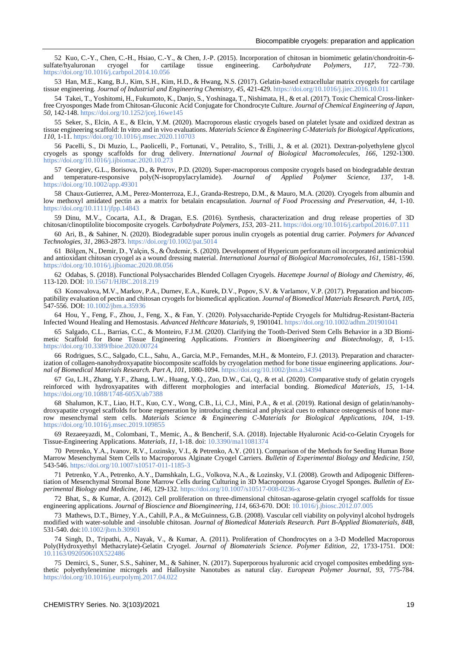52 Kuo, C.-Y., Chen, C.-H., Hsiao, C.-Y., & Chen, J.-P. (2015). Incorporation of chitosan in biomimetic gelatin/chondroitin-6-<br>ate/hyaluronan cryogel for cartilage tissue engineering. Carbohydrate Polymers, 117, 722–730. sulfate/hyaluronan cryogel for cartilage tissue engineering. *Carbohydrate Polymers, 117*, 722–730. <https://doi.org/10.1016/j.carbpol.2014.10.056>

53 Han, M.E., Kang, B.J., Kim, S.H., Kim, H.D., & Hwang, N.S. (2017). Gelatin-based extracellular matrix cryogels for cartilage tissue engineering. *Journal of Industrial and Engineering Chemistry, 45,* 421-429[. https://doi.org/10.1016/j.jiec.2016.10.011](https://doi.org/10.1016/j.jiec.2016.10.011)

54 Takei, T., Yoshitomi, H., Fukumoto, K., Danjo, S., Yoshinaga, T., Nishimata, H., & et al. (2017). Toxic Chemical Cross-linkerfree Cryosponges Made from Chitosan-Gluconic Acid Conjugate for Chondrocyte Culture. *Journal of Chemical Engineering of Japan, 50,* 142-148[. https://doi.org/10.1252/jcej.16we145](https://doi.org/10.1252/jcej.16we145)

55 Seker, S., Elcin, A E., & Elcin, Y.M. (2020). Macroporous elastic cryogels based on platelet lysate and oxidized dextran as tissue engineering scaffold: In vitro and in vivo evaluations. *Materials Science & Engineering C-Materials for Biological Applications, 110,* 1-11[. https://doi.org/10.1016/j.msec.2020.110703](https://doi.org/10.1016/j.msec.2020.110703)

56 Pacelli, S., Di Muzio, L., Paolicelli, P., Fortunati, V., Petralito, S., Trilli, J., & et al. (2021). Dextran-polyethylene glycol cryogels as spongy scaffolds for drug delivery. *International Journal of Biological Macromolecules, 166*, 1292-1300. <https://doi.org/10.1016/j.ijbiomac.2020.10.273>

57 Georgiev, G.L., Borisova, D., & Petrov, P.D. (2020). Super-macroporous composite cryogels based on biodegradable dextran and temperature-responsive poly(N-isopropylacrylamide). *Journal of Applied Polymer Science, 137*, 1-8. <https://doi.org/10.1002/app.49301>

58 Chaux-Gutierrez, A.M., Perez-Monterroza, E.J., Granda-Restrepo, D.M., & Mauro, M.A. (2020). Cryogels from albumin and low methoxyl amidated pectin as a matrix for betalain encapsulation. *Journal of Food Processing and Preservation, 44*, 1-10. <https://doi.org/10.1111/jfpp.14843>

59 Dinu, M.V., Cocarta, A.I., & Dragan, E.S. (2016). Synthesis, characterization and drug release properties of 3D chitosan/clinoptilolite biocomposite cryogels. *Carbohydrate Polymers, 153,* 203–211. <https://doi.org/10.1016/j.carbpol.2016.07.111>

60 Ari, B., & Sahiner, N. (2020). Biodegradable super porous inulin cryogels as potential drug carrier. *Polymers for Advanced Technologies, 31*, 2863-2873[. https://doi.org/10.1002/pat.5014](https://doi.org/10.1002/pat.5014)

61 Bölgen, N., Demir, D., Yalçin, S., & Özdemir, S. (2020). Development of Hypericum perforatum oil incorporated antimicrobial and antioxidant chitosan cryogel as a wound dressing material. *International Journal of Biological Macromolecules, 161,* 1581-1590. <https://doi.org/10.1016/j.ijbiomac.2020.08.056>

62 Odabas, S. (2018). Functional Polysaccharides Blended Collagen Cryogels. *Hacettepe Journal of Biology and Chemistry, 46,* 113-120. DOI:<10.15671/HJBC.2018.219>

63 Konovalova, M.V., Markov, P.A., Durnev, E.A., Kurek, D.V., Popov, S.V. & Varlamov, V.P. (2017). Preparation and biocompatibility evaluation of pectin and chitosan cryogels for biomedical application. *Journal of Biomedical Materials Research. PartA, 105,* 547-556. DOI[: 10.1002/jbm.a.35936](https://doi.org/10.1002/jbm.a.35936) 

64 Hou, Y., Feng, F., Zhou, J., Feng, X., & Fan, Y. (2020). Polysaccharide‐Peptide Cryogels for Multidrug‐Resistant‐Bacteria Infected Wound Healing and Hemostasis. *Advanced Helthcare Matarials, 9*, 1901041. <https://doi.org/10.1002/adhm.201901041>

65 Salgado, C.L., Barrias, C.C., & Monteiro, F.J.M. (2020). Clarifying the Tooth-Derived Stem Cells Behavior in a 3D Biomimetic Scaffold for Bone Tissue Engineering Applications. *Frontiers in Bioengineering and Biotechnology, 8*, 1-15. <https://doi.org/10.3389/fbioe.2020.00724>

66 Rodrigues, S.C., Salgado, C.L., Sahu, A., Garcia, M.P., Fernandes, M.H., & Monteiro, F.J. (2013). Preparation and characterization of collagen-nanohydroxyapatite biocomposite scaffolds by cryogelation method for bone tissue engineering applications. *Journal of Biomedical Materials Research. Part A, 101,* 1080-1094.<https://doi.org/10.1002/jbm.a.34394>

67 Gu, L.H., Zhang, Y.F., Zhang, L.W., Huang, Y.Q., Zuo, D.W., Cai, Q., & et al. (2020). Comparative study of gelatin cryogels reinforced with hydroxyapatites with different morphologies and interfacial bonding. *Biomedical Materials, 15,* 1-14. <https://doi.org/10.1088/1748-605X/ab7388>

68 Shalumon, K.T., Liao, H.T., Kuo, C.Y., Wong, C.B., Li, C.J., Mini, P.A., & et al. (2019). Rational design of gelatin/nanohydroxyapatite cryogel scaffolds for bone regeneration by introducing chemical and physical cues to enhance osteogenesis of bone marrow mesenchymal stem cells. *Materials Science & Engineering C-Materials for Biological Applications, 104*, 1-19. <https://doi.org/10.1016/j.msec.2019.109855>

69 Rezaeeyazdi, M., Colombani, T., Memic, A., & Bencherif, S.A. (2018). Injectable Hyaluronic Acid-co-Gelatin Cryogels for Tissue-Engineering Applications. *Materials, 11,* 1-18. doi: [10.3390/ma11081374](https://dx.doi.org/10.3390%2Fma11081374)

70 Petrenko, Y.A., Ivanov, R.V., Lozinsky, V.I., & Petrenko, A.Y. (2011). Comparison of the Methods for Seeding Human Bone Marrow Mesenchymal Stem Cells to Macroporous Alginate Cryogel Carriers. *Bulletin of Experimental Biology and Medicine, 150,* 543-546[. https://doi.org/10.1007/s10517-011-1185-3](https://doi.org/10.1007/s10517-011-1185-3)

71 Petrenko, Y.A., Petrenko, A.Y., Damshkaln, L.G., Volkova, N.A., & Lozinsky, V.I. (2008). Growth and Adipogenic Differentiation of Mesenchymal Stromal Bone Marrow Cells during Culturing in 3D Macroporous Agarose Cryogel Sponges. *Bulletin of Experimental Biology and Medicine, 146,* 129-132[. https://doi.org/10.1007/s10517-008-0236-x](https://doi.org/10.1007/s10517-008-0236-x)

72 Bhat, S., & Kumar, A. (2012). Cell proliferation on three-dimensional chitosan-agarose-gelatin cryogel scaffolds for tissue engineering applications. *Journal of Bioscience and Bioengineering, 114,* 663-670. DOI[: 10.1016/j.jbiosc.2012.07.005](https://doi.org/10.1016/j.jbiosc.2012.07.005) 

73 Mathews, D.T., Birney, Y.A., Cahill, P.A., & McGuinness, G.B. (2008). Vascular cell viability on polyvinyl alcohol hydrogels modified with water-soluble and -insoluble chitosan. *Journal of Biomedical Materials Research. Part B-Applied Biomaterials, 84B,*  531-540. doi[:10.1002/jbm.b.30901](10.1002/jbm.b.30901)

74 Singh, D., Tripathi, A., Nayak, V., & Kumar, A. (2011). Proliferation of Chondrocytes on a 3-D Modelled Macroporous Poly(Hydroxyethyl Methacrylate)-Gelatin Cryogel. *Journal of Biomaterials Science. Polymer Edition, 22*, 1733-1751. DOI: [10.1163/092050610X522486](https://doi.org/10.1163/092050610x522486) 

75 Demirci, S., Suner, S.S., Sahiner, M., & Sahiner, N. (2017). Superporous hyaluronic acid cryogel composites embedding synthetic polyethyleneimine microgels and Halloysite Nanotubes as natural clay. *European Polymer Journal, 93,* 775-784. <https://doi.org/10.1016/j.eurpolymj.2017.04.022>